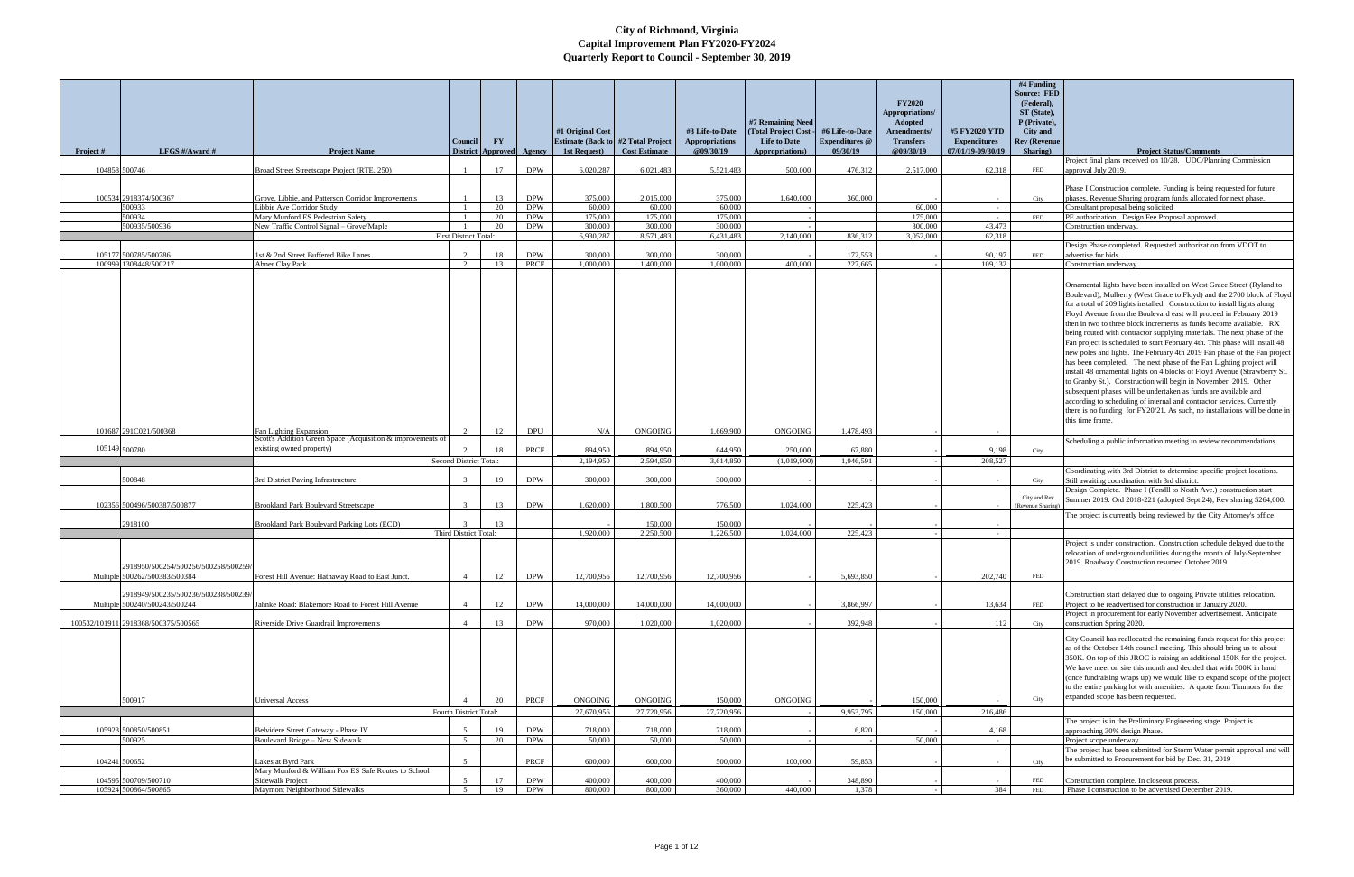|               |                                                                       |                                                                                       | Council                      | $\mathbf{F}\mathbf{Y}$   |                          | #1 Original Cost<br><b>Estimate (Back to #2 Total Project</b> ) |                       | #3 Life-to-Date<br>Appropriations | #7 Remaining Need<br>(Total Project Cost<br><b>Life to Date</b> | #6 Life-to-Date<br><b>Expenditures</b> @ | <b>FY2020</b><br>Appropriations/<br>Adopted<br>Amendments/<br><b>Transfers</b> | #5 FY2020 YTD<br><b>Expenditures</b> | #4 Funding<br><b>Source: FED</b><br>(Federal),<br>ST (State),<br>P (Private),<br><b>City</b> and<br><b>Rev (Revenue</b> |                                                                                                                                                                                                                                                                                                                                                                                                                                                                                                                                                                                                                                                                                                                                                                                                                                                                                                                                                                                                                                                                                     |
|---------------|-----------------------------------------------------------------------|---------------------------------------------------------------------------------------|------------------------------|--------------------------|--------------------------|-----------------------------------------------------------------|-----------------------|-----------------------------------|-----------------------------------------------------------------|------------------------------------------|--------------------------------------------------------------------------------|--------------------------------------|-------------------------------------------------------------------------------------------------------------------------|-------------------------------------------------------------------------------------------------------------------------------------------------------------------------------------------------------------------------------------------------------------------------------------------------------------------------------------------------------------------------------------------------------------------------------------------------------------------------------------------------------------------------------------------------------------------------------------------------------------------------------------------------------------------------------------------------------------------------------------------------------------------------------------------------------------------------------------------------------------------------------------------------------------------------------------------------------------------------------------------------------------------------------------------------------------------------------------|
| Project #     | LFGS #/Award #                                                        | <b>Project Name</b>                                                                   |                              | <b>District Approved</b> | Agency                   | 1st Request)                                                    | <b>Cost Estimate</b>  | @09/30/19                         | Appropriations)                                                 | 09/30/19                                 | @09/30/19                                                                      | 07/01/19-09/30/19                    | Sharing)                                                                                                                | <b>Project Status/Comments</b><br>Project final plans received on 10/28. UDC/Planning Commission                                                                                                                                                                                                                                                                                                                                                                                                                                                                                                                                                                                                                                                                                                                                                                                                                                                                                                                                                                                    |
|               | 104858 500746                                                         | Broad Street Streetscape Project (RTE. 250)                                           |                              | 17                       | <b>DPW</b>               | 6.020.287                                                       | 6.021.483             | 5,521,483                         | 500,000                                                         | 476,312                                  | 2,517,000                                                                      | 62,318                               | FED                                                                                                                     | approval July 2019.                                                                                                                                                                                                                                                                                                                                                                                                                                                                                                                                                                                                                                                                                                                                                                                                                                                                                                                                                                                                                                                                 |
|               | 100534 2918374/500367                                                 | Grove, Libbie, and Patterson Corridor Improvements                                    |                              | 13                       | <b>DPW</b>               | 375,000                                                         | 2.015.000             | 375,000                           | 1,640,000                                                       | 360,000                                  |                                                                                | $\sim$                               | City                                                                                                                    | Phase I Construction complete. Funding is being requested for future<br>phases. Revenue Sharing program funds allocated for next phase.                                                                                                                                                                                                                                                                                                                                                                                                                                                                                                                                                                                                                                                                                                                                                                                                                                                                                                                                             |
|               | 500933                                                                | Libbie Ave Corridor Study                                                             |                              | 20                       | <b>DPW</b>               | 60,000                                                          | 60,000                | 60,000                            |                                                                 |                                          | 60,000                                                                         | $\sim$ $-$                           |                                                                                                                         | Consultant proposal being solicited                                                                                                                                                                                                                                                                                                                                                                                                                                                                                                                                                                                                                                                                                                                                                                                                                                                                                                                                                                                                                                                 |
|               | 500934<br>500935/500936                                               | Mary Munford ES Pedestrian Safety<br>New Traffic Control Signal - Grove/Maple         |                              | 20<br>20                 | <b>DPW</b><br><b>DPW</b> | 175,000<br>300,000                                              | 175,000<br>300,000    | 175,000<br>300,000                |                                                                 |                                          | 175,000<br>300,000                                                             | 43,473                               | FED                                                                                                                     | PE authorization. Design Fee Proposal approved.<br>Construction underway.                                                                                                                                                                                                                                                                                                                                                                                                                                                                                                                                                                                                                                                                                                                                                                                                                                                                                                                                                                                                           |
|               |                                                                       |                                                                                       | <b>First District Total:</b> |                          |                          | 6.930.287                                                       | 8,571,483             | 6,431,483                         | 2.140,000                                                       | 836,312                                  | 3.052.000                                                                      | 62,318                               |                                                                                                                         |                                                                                                                                                                                                                                                                                                                                                                                                                                                                                                                                                                                                                                                                                                                                                                                                                                                                                                                                                                                                                                                                                     |
|               | 105177 500785/500786<br>100999 1308448/500217                         | 1st & 2nd Street Buffered Bike Lanes<br><b>Abner Clay Park</b>                        | 2                            | 18<br>13                 | <b>DPW</b><br>PRCF       | 300.000<br>1.000,000                                            | 300.000<br>1,400,000  | 300,000<br>1,000,000              | 400,000                                                         | 172,553<br>227,665                       |                                                                                | 90,197<br>109,132                    | <b>FED</b>                                                                                                              | Design Phase completed. Requested authorization from VDOT to<br>advertise for bids.<br>Construction underway                                                                                                                                                                                                                                                                                                                                                                                                                                                                                                                                                                                                                                                                                                                                                                                                                                                                                                                                                                        |
|               | 101687 291C021/500368                                                 | Fan Lighting Expansion<br>Scott's Addition Green Space (Acquisition & improvements of | $\overline{2}$               | 12                       | <b>DPU</b>               | N/A                                                             | <b>ONGOING</b>        | 1,669,900                         | <b>ONGOING</b>                                                  | 1,478,493                                |                                                                                |                                      |                                                                                                                         | Ornamental lights have been installed on West Grace Street (Ryland to<br>Boulevard), Mulberry (West Grace to Floyd) and the 2700 block of Floyd<br>for a total of 209 lights installed. Construction to install lights along<br>Floyd Avenue from the Boulevard east will proceed in February 2019<br>then in two to three block increments as funds become available. RX<br>being routed with contractor supplying materials. The next phase of the<br>Fan project is scheduled to start February 4th. This phase will install 48<br>new poles and lights. The February 4th 2019 Fan phase of the Fan project<br>has been completed. The next phase of the Fan Lighting project will<br>install 48 ornamental lights on 4 blocks of Floyd Avenue (Strawberry St.<br>to Granby St.). Construction will begin in November 2019. Other<br>subsequent phases will be undertaken as funds are available and<br>according to scheduling of internal and contractor services. Currently<br>there is no funding for FY20/21. As such, no installations will be done in<br>this time frame. |
|               |                                                                       |                                                                                       |                              |                          |                          |                                                                 |                       |                                   |                                                                 |                                          |                                                                                |                                      |                                                                                                                         | Scheduling a public information meeting to review recommendations                                                                                                                                                                                                                                                                                                                                                                                                                                                                                                                                                                                                                                                                                                                                                                                                                                                                                                                                                                                                                   |
| 105149 500780 |                                                                       | existing owned property)                                                              | $\overline{2}$               | 18                       | <b>PRCF</b>              | 894,950                                                         | 894,950               | 644,950                           | 250,000                                                         | 67,880                                   |                                                                                | 9,198                                | City                                                                                                                    |                                                                                                                                                                                                                                                                                                                                                                                                                                                                                                                                                                                                                                                                                                                                                                                                                                                                                                                                                                                                                                                                                     |
|               |                                                                       |                                                                                       | Second District Total:       |                          |                          | 2,194,950                                                       | 2,594,950             | 3,614,850                         | (1,019,900)                                                     | 1,946,591                                |                                                                                | 208,527                              |                                                                                                                         | Coordinating with 3rd District to determine specific project locations.                                                                                                                                                                                                                                                                                                                                                                                                                                                                                                                                                                                                                                                                                                                                                                                                                                                                                                                                                                                                             |
|               | 500848                                                                | 3rd District Paving Infrastructure                                                    | $\mathcal{R}$                | 19                       | <b>DPW</b>               | 300,000                                                         | 300,000               | 300,000                           |                                                                 |                                          |                                                                                |                                      | City                                                                                                                    | Still awaiting coordination with 3rd district.<br>Design Complete. Phase I (Fendll to North Ave.) construction start                                                                                                                                                                                                                                                                                                                                                                                                                                                                                                                                                                                                                                                                                                                                                                                                                                                                                                                                                                |
|               | 102356 500496/500387/500877                                           | Brookland Park Boulevard Streetscape                                                  | $\mathcal{R}$                | 13                       | <b>DPW</b>               | 1,620,000                                                       | 1.800,500             | 776,500                           | 1,024,000                                                       | 225,423                                  |                                                                                |                                      | City and Rev<br>(Revenue Sharing)                                                                                       | Summer 2019. Ord 2018-221 (adopted Sept 24), Rev sharing \$264,000.<br>The project is currently being reviewed by the City Attorney's office.                                                                                                                                                                                                                                                                                                                                                                                                                                                                                                                                                                                                                                                                                                                                                                                                                                                                                                                                       |
|               | 2918100                                                               | Brookland Park Boulevard Parking Lots (ECD)                                           |                              | 13                       |                          | 1.920.000                                                       | 150,000<br>2.250,500  | 150,000                           |                                                                 |                                          |                                                                                |                                      |                                                                                                                         |                                                                                                                                                                                                                                                                                                                                                                                                                                                                                                                                                                                                                                                                                                                                                                                                                                                                                                                                                                                                                                                                                     |
|               | 2918950/500254/500256/500258/500259/<br>Multiple 500262/500383/500384 | Forest Hill Avenue: Hathaway Road to East Junct.                                      | Third District Total:<br>-4  | 12                       | <b>DPW</b>               | 12,700,956                                                      | 12,700,956            | 1,226,500<br>12,700,956           | 1,024,000                                                       | 225,423<br>5,693,850                     |                                                                                | $\sim$ $-$<br>202,740                | FED                                                                                                                     | Project is under construction. Construction schedule delayed due to the<br>relocation of underground utilities during the month of July-September<br>2019. Roadway Construction resumed October 2019                                                                                                                                                                                                                                                                                                                                                                                                                                                                                                                                                                                                                                                                                                                                                                                                                                                                                |
|               | 2918949/500235/500236/500238/500239/<br>Multiple 500240/500243/500244 | Jahnke Road: Blakemore Road to Forest Hill Avenue                                     |                              | 12                       | <b>DPW</b>               | 14,000,000                                                      | 14,000,000            | 14,000,000                        |                                                                 | 3,866,997                                |                                                                                | 13,634                               | FED                                                                                                                     | Construction start delayed due to ongoing Private utilities relocation.<br>Project to be readvertised for construction in January 2020.                                                                                                                                                                                                                                                                                                                                                                                                                                                                                                                                                                                                                                                                                                                                                                                                                                                                                                                                             |
|               |                                                                       |                                                                                       |                              |                          |                          |                                                                 |                       |                                   |                                                                 |                                          |                                                                                |                                      |                                                                                                                         | Project in procurement for early November advertisement. Anticipate                                                                                                                                                                                                                                                                                                                                                                                                                                                                                                                                                                                                                                                                                                                                                                                                                                                                                                                                                                                                                 |
|               | 100532/101911 2918368/500375/500565                                   | Riverside Drive Guardrail Improvements                                                | $\mathbf{\Delta}$            | 13                       | <b>DPW</b>               | 970,000                                                         | 1.020.000             | 1,020,000                         |                                                                 | 392,948                                  |                                                                                | 112                                  | City                                                                                                                    | construction Spring 2020.<br>City Council has reallocated the remaining funds request for this project<br>as of the October 14th council meeting. This should bring us to about<br>350K. On top of this JROC is raising an additional 150K for the project.<br>We have meet on site this month and decided that with 500K in hand<br>(once fundraising wraps up) we would like to expand scope of the project<br>to the entire parking lot with amenities. A quote from Timmons for the<br>expanded scope has been requested.                                                                                                                                                                                                                                                                                                                                                                                                                                                                                                                                                       |
|               | 500917                                                                | <b>Universal Access</b>                                                               |                              | 20                       | PRCF                     | <b>ONGOING</b>                                                  | ONGOING               | 150,000                           | <b>ONGOING</b>                                                  |                                          | 150,000                                                                        |                                      | City                                                                                                                    |                                                                                                                                                                                                                                                                                                                                                                                                                                                                                                                                                                                                                                                                                                                                                                                                                                                                                                                                                                                                                                                                                     |
|               | 105923 500850/500851                                                  | Belvidere Street Gateway - Phase IV                                                   | Fourth District Total:       | 19                       | <b>DPW</b>               | 27,670,956<br>718,000                                           | 27,720,956<br>718,000 | 27,720,956<br>718,000             |                                                                 | 9,953,795<br>6,820                       | 150,000                                                                        | 216,486<br>4,168                     |                                                                                                                         | The project is in the Preliminary Engineering stage. Project is<br>approaching 30% design Phase.                                                                                                                                                                                                                                                                                                                                                                                                                                                                                                                                                                                                                                                                                                                                                                                                                                                                                                                                                                                    |
|               | 500925                                                                | Boulevard Bridge - New Sidewalk                                                       | 5                            | 20                       | <b>DPW</b>               | 50,000                                                          | 50,000                | 50,000                            |                                                                 |                                          | 50,000                                                                         |                                      |                                                                                                                         | Project scope underway                                                                                                                                                                                                                                                                                                                                                                                                                                                                                                                                                                                                                                                                                                                                                                                                                                                                                                                                                                                                                                                              |
|               | 104241 500652                                                         | Lakes at Byrd Park                                                                    |                              |                          | PRCF                     | 600,000                                                         | 600,000               | 500,000                           | 100,000                                                         | 59.853                                   |                                                                                |                                      | City                                                                                                                    | The project has been submitted for Storm Water permit approval and will<br>be submitted to Procurement for bid by Dec. 31, 2019                                                                                                                                                                                                                                                                                                                                                                                                                                                                                                                                                                                                                                                                                                                                                                                                                                                                                                                                                     |
|               | 104595 500709/500710                                                  | Mary Munford & William Fox ES Safe Routes to School<br><b>Sidewalk Project</b>        | 5                            | 17                       | <b>DPW</b>               | 400,000                                                         | 400,000               | 400,000                           |                                                                 | 348,890                                  |                                                                                |                                      | FED                                                                                                                     | Construction complete. In closeout process.                                                                                                                                                                                                                                                                                                                                                                                                                                                                                                                                                                                                                                                                                                                                                                                                                                                                                                                                                                                                                                         |
|               | 105924 500864/500865                                                  | Maymont Neighborhood Sidewalks                                                        | 5 <sup>5</sup>               | 19                       | <b>DPW</b>               | 800,000                                                         | 800,000               | 360,000                           | 440,000                                                         | 1,378                                    |                                                                                | 384                                  | FED                                                                                                                     | Phase I construction to be advertised December 2019.                                                                                                                                                                                                                                                                                                                                                                                                                                                                                                                                                                                                                                                                                                                                                                                                                                                                                                                                                                                                                                |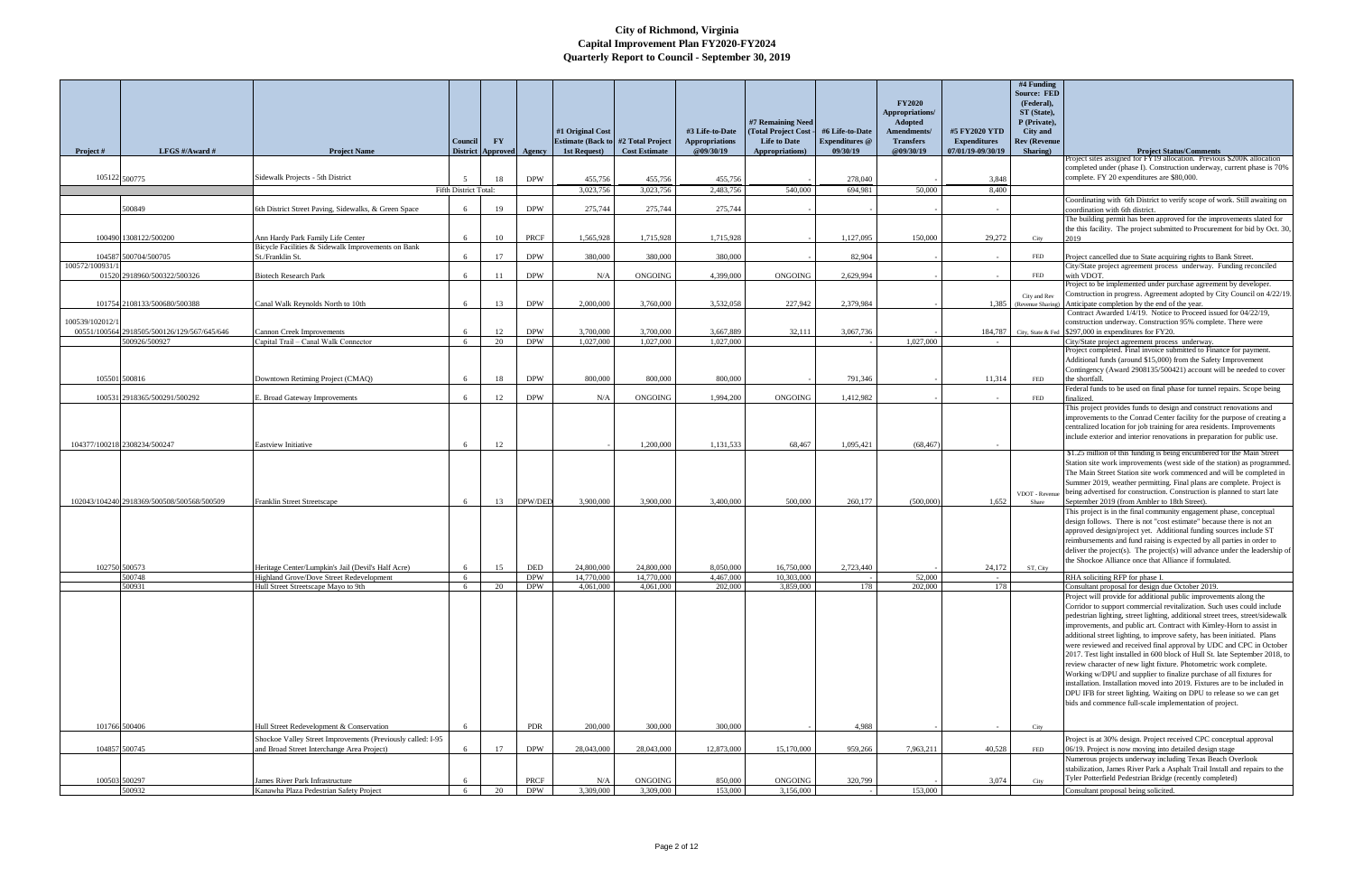|                 |                                             |                                                             |                              |                        |                    |                                            |                      |                 |                     |                       |                  |                     | #4 Funding          |                                                                                                                                                  |
|-----------------|---------------------------------------------|-------------------------------------------------------------|------------------------------|------------------------|--------------------|--------------------------------------------|----------------------|-----------------|---------------------|-----------------------|------------------|---------------------|---------------------|--------------------------------------------------------------------------------------------------------------------------------------------------|
|                 |                                             |                                                             |                              |                        |                    |                                            |                      |                 |                     |                       |                  |                     | <b>Source: FED</b>  |                                                                                                                                                  |
|                 |                                             |                                                             |                              |                        |                    |                                            |                      |                 |                     |                       | <b>FY2020</b>    |                     | (Federal),          |                                                                                                                                                  |
|                 |                                             |                                                             |                              |                        |                    |                                            |                      |                 |                     |                       | Appropriations/  |                     | ST (State),         |                                                                                                                                                  |
|                 |                                             |                                                             |                              |                        |                    |                                            |                      |                 | #7 Remaining Need   |                       | <b>Adopted</b>   |                     | P (Private).        |                                                                                                                                                  |
|                 |                                             |                                                             |                              |                        |                    | #1 Original Cost                           |                      | #3 Life-to-Date | (Total Project Cost | #6 Life-to-Date       | Amendments/      | #5 FY2020 YTD       | City and            |                                                                                                                                                  |
|                 |                                             |                                                             | Council                      | $\mathbf{F}\mathbf{Y}$ |                    | <b>Estimate (Back to #2 Total Project)</b> |                      | Appropriations  | <b>Life to Date</b> | <b>Expenditures</b> @ | <b>Transfers</b> | <b>Expenditures</b> | <b>Rev (Revenue</b> |                                                                                                                                                  |
| Project #       | LFGS $\#/$ Award $\#$                       | <b>Project Name</b>                                         | <b>District</b>              | <b>Approved</b>        | Agency             | 1st Request)                               | <b>Cost Estimate</b> | @09/30/19       | Appropriations)     | 09/30/19              | @09/30/19        | 07/01/19-09/30/19   | Sharing)            | <b>Project Status/Comments</b>                                                                                                                   |
|                 |                                             |                                                             |                              |                        |                    |                                            |                      |                 |                     |                       |                  |                     |                     | roject sites assigned for FY19 allocation. Previous \$200K allocation                                                                            |
|                 |                                             |                                                             |                              |                        |                    |                                            |                      |                 |                     |                       |                  |                     |                     | completed under (phase I). Construction underway, current phase is 70%                                                                           |
| 105122 500775   |                                             | Sidewalk Projects - 5th District                            |                              | 18                     | <b>DPW</b>         | 455,756                                    | 455,756              | 455,756         |                     | 278,040               |                  | 3,848               |                     | complete. FY 20 expenditures are \$80,000.                                                                                                       |
|                 |                                             |                                                             | <b>Fifth District Total:</b> |                        |                    | 3.023.756                                  | 3.023.756            | 2.483.756       | 540,000             | 694.981               | 50.000           | 8.400               |                     |                                                                                                                                                  |
|                 |                                             |                                                             |                              |                        |                    |                                            |                      |                 |                     |                       |                  |                     |                     | Coordinating with 6th District to verify scope of work. Still awaiting on                                                                        |
|                 | 500849                                      | 6th District Street Paving, Sidewalks, & Green Space        |                              | 19                     | <b>DPW</b>         | 275,744                                    | 275,744              | 275,744         |                     |                       |                  |                     |                     | coordination with 6th district.                                                                                                                  |
|                 |                                             |                                                             |                              |                        |                    |                                            |                      |                 |                     |                       |                  |                     |                     | The building permit has been approved for the improvements slated for                                                                            |
|                 | 100490 1308122/500200                       | Ann Hardy Park Family Life Center                           | -6                           | 10                     | <b>PRCF</b>        | 1,565,928                                  | 1,715,928            | 1,715,928       |                     | 1.127.095             | 150,000          | 29.272              | City                | the this facility. The project submitted to Procurement for bid by Oct. 30,<br>2019                                                              |
|                 |                                             | Bicycle Facilities & Sidewalk Improvements on Bank          |                              |                        |                    |                                            |                      |                 |                     |                       |                  |                     |                     |                                                                                                                                                  |
|                 | 104587 500704/500705                        | St./Franklin St.                                            | 6                            | 17                     | <b>DPW</b>         | 380,000                                    | 380,000              | 380,000         |                     | 82,904                |                  |                     | FED                 | Project cancelled due to State acquiring rights to Bank Street.                                                                                  |
| 100572/100931/  |                                             |                                                             |                              |                        |                    |                                            |                      |                 |                     |                       |                  |                     |                     | City/State project agreement process underway. Funding reconciled                                                                                |
|                 | 01520 2918960/500322/500326                 | <b>Biotech Research Park</b>                                | 6                            | 11                     | <b>DPW</b>         | N/A                                        | <b>ONGOING</b>       | 4,399,000       | <b>ONGOING</b>      | 2,629,994             |                  |                     | FED                 | with VDOT.                                                                                                                                       |
|                 |                                             |                                                             |                              |                        |                    |                                            |                      |                 |                     |                       |                  |                     |                     | Project to be implemented under purchase agreement by developer.                                                                                 |
|                 |                                             |                                                             |                              |                        |                    |                                            |                      |                 |                     |                       |                  |                     | City and Rev        | Construction in progress. Agreement adopted by City Council on 4/22/19.                                                                          |
|                 | 101754 2108133/500680/500388                | Canal Walk Revnolds North to 10th                           | 6                            | 13                     | <b>DPW</b>         | 2,000,000                                  | 3,760,000            | 3.532.058       | 227,942             | 2.379.984             |                  | 1,385               | (Revenue Sharing)   | Anticipate completion by the end of the year.                                                                                                    |
|                 |                                             |                                                             |                              |                        |                    |                                            |                      |                 |                     |                       |                  |                     |                     | Contract Awarded 1/4/19. Notice to Proceed issued for 04/22/19,                                                                                  |
| 100539/102012/1 |                                             |                                                             |                              |                        |                    |                                            |                      |                 |                     |                       |                  |                     |                     | construction underway. Construction 95% complete. There were                                                                                     |
|                 | 00551/100564 2918505/500126/129/567/645/646 | <b>Cannon Creek Improvements</b>                            |                              | 12                     | <b>DPW</b>         | 3,700,000                                  | 3,700,000            | 3,667,889       | 32,111              | 3,067,736             |                  | 184,787             |                     | City, State & Fed $$297,000$ in expenditures for FY20.                                                                                           |
|                 | 500926/500927                               | Capital Trail - Canal Walk Connector                        | 6                            | 20                     | <b>DPW</b>         | 1,027,000                                  | 1,027,000            | 1,027,000       |                     |                       | 1,027,000        |                     |                     | City/State project agreement process underway.                                                                                                   |
|                 |                                             |                                                             |                              |                        |                    |                                            |                      |                 |                     |                       |                  |                     |                     | Project completed. Final invoice submitted to Finance for payment.                                                                               |
|                 |                                             |                                                             |                              |                        |                    |                                            |                      |                 |                     |                       |                  |                     |                     | Additional funds (around \$15,000) from the Safety Improvement                                                                                   |
|                 | 105501 500816                               | Downtown Retiming Project (CMAQ)                            | 6                            | 18                     | <b>DPW</b>         | 800,000                                    | 800,000              | 800,000         |                     | 791,346               |                  | 11,314              | FED                 | Contingency (Award 2908135/500421) account will be needed to cover<br>the shortfall.                                                             |
|                 |                                             |                                                             |                              |                        |                    |                                            |                      |                 |                     |                       |                  |                     |                     | Federal funds to be used on final phase for tunnel repairs. Scope being                                                                          |
|                 | 100531 2918365/500291/500292                | E. Broad Gateway Improvements                               | -6                           | 12                     | <b>DPW</b>         | N/A                                        | <b>ONGOING</b>       | 1,994,200       | <b>ONGOING</b>      | 1,412,982             |                  |                     | FED                 | finalized                                                                                                                                        |
|                 |                                             |                                                             |                              |                        |                    |                                            |                      |                 |                     |                       |                  |                     |                     | This project provides funds to design and construct renovations and                                                                              |
|                 |                                             |                                                             |                              |                        |                    |                                            |                      |                 |                     |                       |                  |                     |                     | improvements to the Conrad Center facility for the purpose of creating a                                                                         |
|                 |                                             |                                                             |                              |                        |                    |                                            |                      |                 |                     |                       |                  |                     |                     | centralized location for job training for area residents. Improvements                                                                           |
|                 |                                             |                                                             |                              |                        |                    |                                            |                      |                 |                     |                       |                  |                     |                     | include exterior and interior renovations in preparation for public use.                                                                         |
|                 | 104377/100218 2308234/500247                | <b>Eastview Initiative</b>                                  | 6                            | 12                     |                    |                                            | 1,200,000            | 1,131,533       | 68.467              | 1,095,421             | (68, 467)        |                     |                     |                                                                                                                                                  |
|                 |                                             |                                                             |                              |                        |                    |                                            |                      |                 |                     |                       |                  |                     |                     | \$1.25 million of this funding is being encumbered for the Main Street                                                                           |
|                 |                                             |                                                             |                              |                        |                    |                                            |                      |                 |                     |                       |                  |                     |                     | Station site work improvements (west side of the station) as programmed                                                                          |
|                 |                                             |                                                             |                              |                        |                    |                                            |                      |                 |                     |                       |                  |                     |                     | The Main Street Station site work commenced and will be completed in                                                                             |
|                 |                                             |                                                             |                              |                        |                    |                                            |                      |                 |                     |                       |                  |                     |                     | Summer 2019, weather permitting. Final plans are complete. Project is                                                                            |
|                 | 102043/104240 2918369/500508/500568/500509  |                                                             | -6                           | 13                     | DPW/DED            | 3.900.000                                  | 3.900.000            | 3.400.000       | 500.000             | 260,177               | (500,000)        | 1,652               | VDOT - Revenue      | being advertised for construction. Construction is planned to start late<br>September 2019 (from Ambler to 18th Street).                         |
|                 |                                             | <b>Franklin Street Streetscape</b>                          |                              |                        |                    |                                            |                      |                 |                     |                       |                  |                     | Share               | This project is in the final community engagement phase, conceptual                                                                              |
|                 |                                             |                                                             |                              |                        |                    |                                            |                      |                 |                     |                       |                  |                     |                     | design follows. There is not "cost estimate" because there is not an                                                                             |
|                 |                                             |                                                             |                              |                        |                    |                                            |                      |                 |                     |                       |                  |                     |                     | approved design/project yet. Additional funding sources include ST                                                                               |
|                 |                                             |                                                             |                              |                        |                    |                                            |                      |                 |                     |                       |                  |                     |                     | reimbursements and fund raising is expected by all parties in order to                                                                           |
|                 |                                             |                                                             |                              |                        |                    |                                            |                      |                 |                     |                       |                  |                     |                     | deliver the project(s). The project(s) will advance under the leadership of                                                                      |
|                 |                                             |                                                             |                              |                        |                    |                                            |                      |                 |                     |                       |                  |                     |                     | the Shockoe Alliance once that Alliance if formulated.                                                                                           |
| 102750 500573   |                                             | Heritage Center/Lumpkin's Jail (Devil's Half Acre)          | -6                           | 15                     | DED                | 24,800,000                                 | 24,800,000           | 8.050.000       | 16,750,000          | 2.723,440             |                  | 24,172              | ST, City            |                                                                                                                                                  |
|                 | 500748                                      | Highland Grove/Dove Street Redevelopment                    | 6                            |                        | <b>DPW</b>         | 14,770,000                                 | 14,770,000           | 4,467,000       | 10,303,000          |                       | 52,000           |                     |                     | RHA soliciting RFP for phase I.                                                                                                                  |
|                 | 500931                                      | Hull Street Streetscape Mayo to 9th                         | 6                            | 20                     | <b>DPW</b>         | 4,061,000                                  | 4,061,000            | 202,000         | 3,859,000           | 178                   | 202,000          | 178                 |                     | Consultant proposal for design due October 2019.                                                                                                 |
|                 |                                             |                                                             |                              |                        |                    |                                            |                      |                 |                     |                       |                  |                     |                     | Project will provide for additional public improvements along the                                                                                |
|                 |                                             |                                                             |                              |                        |                    |                                            |                      |                 |                     |                       |                  |                     |                     | Corridor to support commercial revitalization. Such uses could include                                                                           |
|                 |                                             |                                                             |                              |                        |                    |                                            |                      |                 |                     |                       |                  |                     |                     | pedestrian lighting, street lighting, additional street trees, street/sidewalk                                                                   |
|                 |                                             |                                                             |                              |                        |                    |                                            |                      |                 |                     |                       |                  |                     |                     | improvements, and public art. Contract with Kimley-Horn to assist in<br>additional street lighting, to improve safety, has been initiated. Plans |
|                 |                                             |                                                             |                              |                        |                    |                                            |                      |                 |                     |                       |                  |                     |                     | were reviewed and received final approval by UDC and CPC in October                                                                              |
|                 |                                             |                                                             |                              |                        |                    |                                            |                      |                 |                     |                       |                  |                     |                     | 2017. Test light installed in 600 block of Hull St. late September 2018, to                                                                      |
|                 |                                             |                                                             |                              |                        |                    |                                            |                      |                 |                     |                       |                  |                     |                     | review character of new light fixture. Photometric work complete.                                                                                |
|                 |                                             |                                                             |                              |                        |                    |                                            |                      |                 |                     |                       |                  |                     |                     | Working w/DPU and supplier to finalize purchase of all fixtures for                                                                              |
|                 |                                             |                                                             |                              |                        |                    |                                            |                      |                 |                     |                       |                  |                     |                     | installation. Installation moved into 2019. Fixtures are to be included in                                                                       |
|                 |                                             |                                                             |                              |                        |                    |                                            |                      |                 |                     |                       |                  |                     |                     | DPU IFB for street lighting. Waiting on DPU to release so we can get                                                                             |
|                 |                                             |                                                             |                              |                        |                    |                                            |                      |                 |                     |                       |                  |                     |                     | bids and commence full-scale implementation of project.                                                                                          |
|                 |                                             |                                                             |                              |                        |                    |                                            |                      |                 |                     |                       |                  |                     |                     |                                                                                                                                                  |
| 101766 500406   |                                             | Hull Street Redevelopment & Conservation                    | 6                            |                        | <b>PDR</b>         | 200,000                                    | 300,000              | 300,000         |                     | 4,988                 |                  |                     | City                |                                                                                                                                                  |
|                 |                                             |                                                             |                              |                        |                    |                                            |                      |                 |                     |                       |                  |                     |                     |                                                                                                                                                  |
|                 |                                             | Shockoe Valley Street Improvements (Previously called: I-95 |                              |                        |                    |                                            |                      |                 |                     |                       |                  |                     |                     | Project is at 30% design. Project received CPC conceptual approval                                                                               |
|                 | 104857 500745                               | and Broad Street Interchange Area Project)                  | 6                            | 17                     | <b>DPW</b>         | 28,043,000                                 | 28,043,000           | 12,873,000      | 15,170,000          | 959,266               | 7,963,211        | 40,528              | FED                 | 06/19. Project is now moving into detailed design stage<br>Numerous projects underway including Texas Beach Overlook                             |
|                 |                                             |                                                             |                              |                        |                    |                                            |                      |                 |                     |                       |                  |                     |                     | stabilization, James River Park a Asphalt Trail Install and repairs to the                                                                       |
|                 |                                             |                                                             |                              |                        |                    |                                            |                      |                 |                     |                       |                  |                     |                     | Tyler Potterfield Pedestrian Bridge (recently completed)                                                                                         |
| 100503 500297   | 500932                                      | James River Park Infrastructure                             | -6                           |                        | PRCF<br><b>DPW</b> | N/A<br>3,309,000                           | ONGOING              | 850,000         | ONGOING             | 320,799               | 153,000          | 3,074               | City                |                                                                                                                                                  |
|                 |                                             | Kanawha Plaza Pedestrian Safety Project                     | 6                            | 20                     |                    |                                            | 3,309,000            | 153,000         | 3,156,000           |                       |                  |                     |                     | Consultant proposal being solicited.                                                                                                             |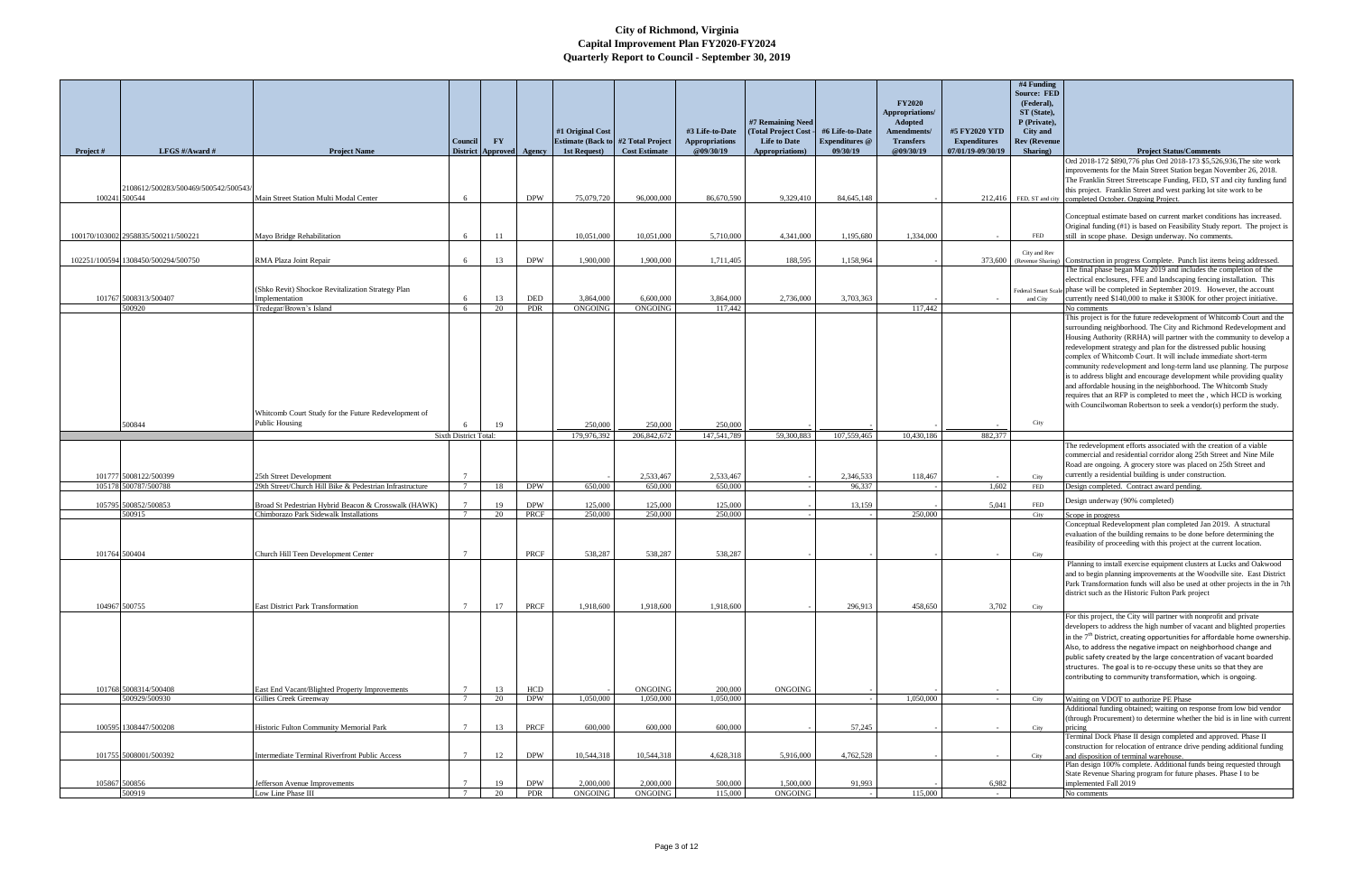| <b>Project</b> # | LFGS $\#/$ Award $\#$                                | <b>Project Name</b>                                                                            | Council                     | $\mathbf{F}\mathbf{Y}$<br>District Approved Agency |                                           | #1 Original Cost<br>1st Request) | <b>Estimate (Back to #2 Total Project</b><br><b>Cost Estimate</b> | #3 Life-to-Date<br><b>Appropriations</b><br>@09/30/19 | #7 Remaining Need<br>(Total Project Cost<br><b>Life to Date</b><br>Appropriations) | #6 Life-to-Date<br><b>Expenditures</b> @<br>09/30/19 | <b>FY2020</b><br>Appropriations/<br>Adopted<br><b>Amendments/</b><br><b>Transfers</b><br>@09/30/19 | #5 FY2020 YTD<br><b>Expenditures</b><br>07/01/19-09/30/19 | #4 Funding<br><b>Source: FED</b><br>(Federal),<br>ST (State),<br>P (Private),<br>City and<br><b>Rev (Revenue</b><br>Sharing) | <b>Project Status/Comments</b>                                                                                                                                                                                                                                                                                                                                                                                                                                                                                                                                                                                                                                                                                                |
|------------------|------------------------------------------------------|------------------------------------------------------------------------------------------------|-----------------------------|----------------------------------------------------|-------------------------------------------|----------------------------------|-------------------------------------------------------------------|-------------------------------------------------------|------------------------------------------------------------------------------------|------------------------------------------------------|----------------------------------------------------------------------------------------------------|-----------------------------------------------------------|------------------------------------------------------------------------------------------------------------------------------|-------------------------------------------------------------------------------------------------------------------------------------------------------------------------------------------------------------------------------------------------------------------------------------------------------------------------------------------------------------------------------------------------------------------------------------------------------------------------------------------------------------------------------------------------------------------------------------------------------------------------------------------------------------------------------------------------------------------------------|
|                  | 2108612/500283/500469/500542/500543<br>100241 500544 | Main Street Station Multi Modal Center                                                         | - 6                         |                                                    | <b>DPW</b>                                | 75,079,720                       | 96,000,000                                                        | 86,670,590                                            | 9,329,410                                                                          | 84,645,148                                           |                                                                                                    |                                                           |                                                                                                                              | Ord 2018-172 \$890,776 plus Ord 2018-173 \$5,526,936, The site work<br>improvements for the Main Street Station began November 26, 2018.<br>The Franklin Street Streetscape Funding, FED, ST and city funding fund<br>this project. Franklin Street and west parking lot site work to be<br>212,416 FED, ST and city completed October. Ongoing Project.                                                                                                                                                                                                                                                                                                                                                                      |
|                  | 100170/103002 2958835/500211/500221                  | Mayo Bridge Rehabilitation                                                                     | 6                           | -11                                                |                                           | 10,051,000                       | 10,051,000                                                        | 5,710,000                                             | 4,341,000                                                                          | 1,195,680                                            | 1.334,000                                                                                          |                                                           | FED                                                                                                                          | Conceptual estimate based on current market conditions has increased.<br>Original funding (#1) is based on Feasibility Study report. The project is<br>still in scope phase. Design underway. No comments.                                                                                                                                                                                                                                                                                                                                                                                                                                                                                                                    |
|                  | 102251/100594 1308450/500294/500750                  | RMA Plaza Joint Repair                                                                         | - 6                         | 13                                                 | <b>DPW</b>                                | 1,900,000                        | 1,900,000                                                         | 1,711,405                                             | 188,595                                                                            | 1,158,964                                            |                                                                                                    | 373,600                                                   | City and Rev<br>(Revenue Sharing)                                                                                            | Construction in progress Complete. Punch list items being addressed.<br>The final phase began May 2019 and includes the completion of the                                                                                                                                                                                                                                                                                                                                                                                                                                                                                                                                                                                     |
|                  | 101767 5008313/500407<br>500920                      | (Shko Revit) Shockoe Revitalization Strategy Plan<br>Implementation<br>Tredegar/Brown's Island | 6<br>6                      | 13<br>20                                           | $\ensuremath{\mathsf{DED}}$<br><b>PDR</b> | 3,864,000<br>ONGOING             | 6,600,000<br><b>ONGOING</b>                                       | 3,864,000<br>117,442                                  | 2,736,000                                                                          | 3,703,363                                            | 117,442                                                                                            |                                                           | and City                                                                                                                     | electrical enclosures, FFE and landscaping fencing installation. This<br>Federal Smart Scale phase will be completed in September 2019. However, the account<br>currently need \$140,000 to make it \$300K for other project initiative.<br>No comments                                                                                                                                                                                                                                                                                                                                                                                                                                                                       |
|                  |                                                      | Whitcomb Court Study for the Future Redevelopment of                                           |                             |                                                    |                                           |                                  |                                                                   |                                                       |                                                                                    |                                                      |                                                                                                    |                                                           |                                                                                                                              | This project is for the future redevelopment of Whitcomb Court and the<br>surrounding neighborhood. The City and Richmond Redevelopment and<br>Housing Authority (RRHA) will partner with the community to develop a<br>redevelopment strategy and plan for the distressed public housing<br>complex of Whitcomb Court. It will include immediate short-term<br>community redevelopment and long-term land use planning. The purpose<br>is to address blight and encourage development while providing quality<br>and affordable housing in the neighborhood. The Whitcomb Study<br>requires that an RFP is completed to meet the, which HCD is working<br>with Councilwoman Robertson to seek a vendor(s) perform the study. |
|                  | 500844                                               | Public Housing                                                                                 | <b>Sixth District Total</b> | 19                                                 |                                           | 250,000<br>179,976,392           | 250,000<br>206,842,672                                            | 250,000<br>147,541,789                                | 59,300,883                                                                         | 107,559,465                                          | 10,430,186                                                                                         | 882,377                                                   | City                                                                                                                         |                                                                                                                                                                                                                                                                                                                                                                                                                                                                                                                                                                                                                                                                                                                               |
|                  | 101777 5008122/500399                                | 25th Street Development                                                                        | $\overline{7}$              |                                                    |                                           |                                  | 2,533,467                                                         | 2,533,467                                             |                                                                                    | 2,346,533                                            | 118,467                                                                                            |                                                           | City                                                                                                                         | The redevelopment efforts associated with the creation of a viable<br>commercial and residential corridor along 25th Street and Nine Mile<br>Road are ongoing. A grocery store was placed on 25th Street and<br>currently a residential building is under construction.                                                                                                                                                                                                                                                                                                                                                                                                                                                       |
|                  | 105178 500787/500788                                 | 29th Street/Church Hill Bike & Pedestrian Infrastructure                                       | $\overline{7}$              | 18                                                 | <b>DPW</b>                                | 650,000                          | 650,000                                                           | 650,000                                               |                                                                                    | 96,337                                               |                                                                                                    | 1,602                                                     | FED                                                                                                                          | Design completed. Contract award pending<br>Design underway (90% completed)                                                                                                                                                                                                                                                                                                                                                                                                                                                                                                                                                                                                                                                   |
|                  | 105795 500852/500853<br>500915                       | Broad St Pedestrian Hybrid Beacon & Crosswalk (HAWK)<br>Chimborazo Park Sidewalk Installations |                             | 19<br>20                                           | <b>DPW</b><br>PRCF                        | 125,000<br>250,000               | 125,000<br>250,000                                                | 125,000<br>250,000                                    |                                                                                    | 13,159                                               | 250,000                                                                                            | 5,041                                                     | <b>FED</b><br>City                                                                                                           | Scope in progress                                                                                                                                                                                                                                                                                                                                                                                                                                                                                                                                                                                                                                                                                                             |
|                  | 101764 500404                                        | Church Hill Teen Development Center                                                            |                             |                                                    | PRCF                                      | 538,287                          | 538,287                                                           | 538,287                                               |                                                                                    |                                                      |                                                                                                    |                                                           | City                                                                                                                         | Conceptual Redevelopment plan completed Jan 2019. A structural<br>evaluation of the building remains to be done before determining the<br>feasibility of proceeding with this project at the current location.<br>Planning to install exercise equipment clusters at Lucks and Oakwood                                                                                                                                                                                                                                                                                                                                                                                                                                        |
|                  | 104967 500755                                        | <b>East District Park Transformation</b>                                                       | $7\overline{ }$             | 17                                                 | PRCF                                      | 1,918,600                        | 1,918,600                                                         | 1,918,600                                             |                                                                                    | 296,913                                              | 458,650                                                                                            | 3,702                                                     | City                                                                                                                         | and to begin planning improvements at the Woodville site. East District<br>Park Transformation funds will also be used at other projects in the in 7th<br>district such as the Historic Fulton Park project                                                                                                                                                                                                                                                                                                                                                                                                                                                                                                                   |
|                  |                                                      |                                                                                                |                             |                                                    |                                           |                                  |                                                                   |                                                       |                                                                                    |                                                      |                                                                                                    |                                                           |                                                                                                                              | For this project, the City will partner with nonprofit and private<br>developers to address the high number of vacant and blighted properties<br>in the $7th$ District, creating opportunities for affordable home ownership.<br>Also, to address the negative impact on neighborhood change and<br>public safety created by the large concentration of vacant boarded<br>structures. The goal is to re-occupy these units so that they are<br>contributing to community transformation, which is ongoing.                                                                                                                                                                                                                    |
|                  | 101768 5008314/500408<br>500929/500930               | East End Vacant/Blighted Property Improvements<br>Gillies Creek Greenway                       | $7\phantom{.0}$             | 13<br>20                                           | HCD<br><b>DPW</b>                         | 1,050,000                        | <b>ONGOING</b><br>1,050,000                                       | 200,000<br>1,050,000                                  | ONGOING                                                                            |                                                      | 1,050,000                                                                                          | $\sim 10^{-1}$                                            | City                                                                                                                         | Waiting on VDOT to authorize PE Phase                                                                                                                                                                                                                                                                                                                                                                                                                                                                                                                                                                                                                                                                                         |
|                  | 100595 1308447/500208                                | Historic Fulton Community Memorial Park                                                        | $\mathcal{I}$               | 13                                                 | PRCF                                      | 600,000                          | 600,000                                                           | 600,000                                               |                                                                                    | 57,245                                               |                                                                                                    |                                                           | City                                                                                                                         | Additional funding obtained; waiting on response from low bid vendor<br>(through Procurement) to determine whether the bid is in line with current<br>pricing                                                                                                                                                                                                                                                                                                                                                                                                                                                                                                                                                                 |
|                  | 101755 5008001/500392                                | Intermediate Terminal Riverfront Public Access                                                 |                             | 12                                                 | <b>DPW</b>                                | 10,544,318                       | 10,544,318                                                        | 4,628,318                                             | 5,916,000                                                                          | 4,762,528                                            |                                                                                                    |                                                           | City                                                                                                                         | Terminal Dock Phase II design completed and approved. Phase II<br>construction for relocation of entrance drive pending additional funding<br>and disposition of terminal warehouse.<br>Plan design 100% complete. Additional funds being requested through                                                                                                                                                                                                                                                                                                                                                                                                                                                                   |
|                  | 105867 500856                                        | Jefferson Avenue Improvements                                                                  |                             | 19                                                 | <b>DPW</b>                                | 2,000,000                        | 2,000,000                                                         | 500,000                                               | 1,500,000                                                                          | 91,993                                               |                                                                                                    | 6,982                                                     |                                                                                                                              | State Revenue Sharing program for future phases. Phase I to be<br>implemented Fall 2019                                                                                                                                                                                                                                                                                                                                                                                                                                                                                                                                                                                                                                       |
|                  | 500919                                               | Low Line Phase III                                                                             | $7\overline{ }$             | 20                                                 | PDR                                       | ONGOING                          | ONGOING                                                           | 115,000                                               | <b>ONGOING</b>                                                                     |                                                      | 115,000                                                                                            | $\sim$                                                    |                                                                                                                              | No comments                                                                                                                                                                                                                                                                                                                                                                                                                                                                                                                                                                                                                                                                                                                   |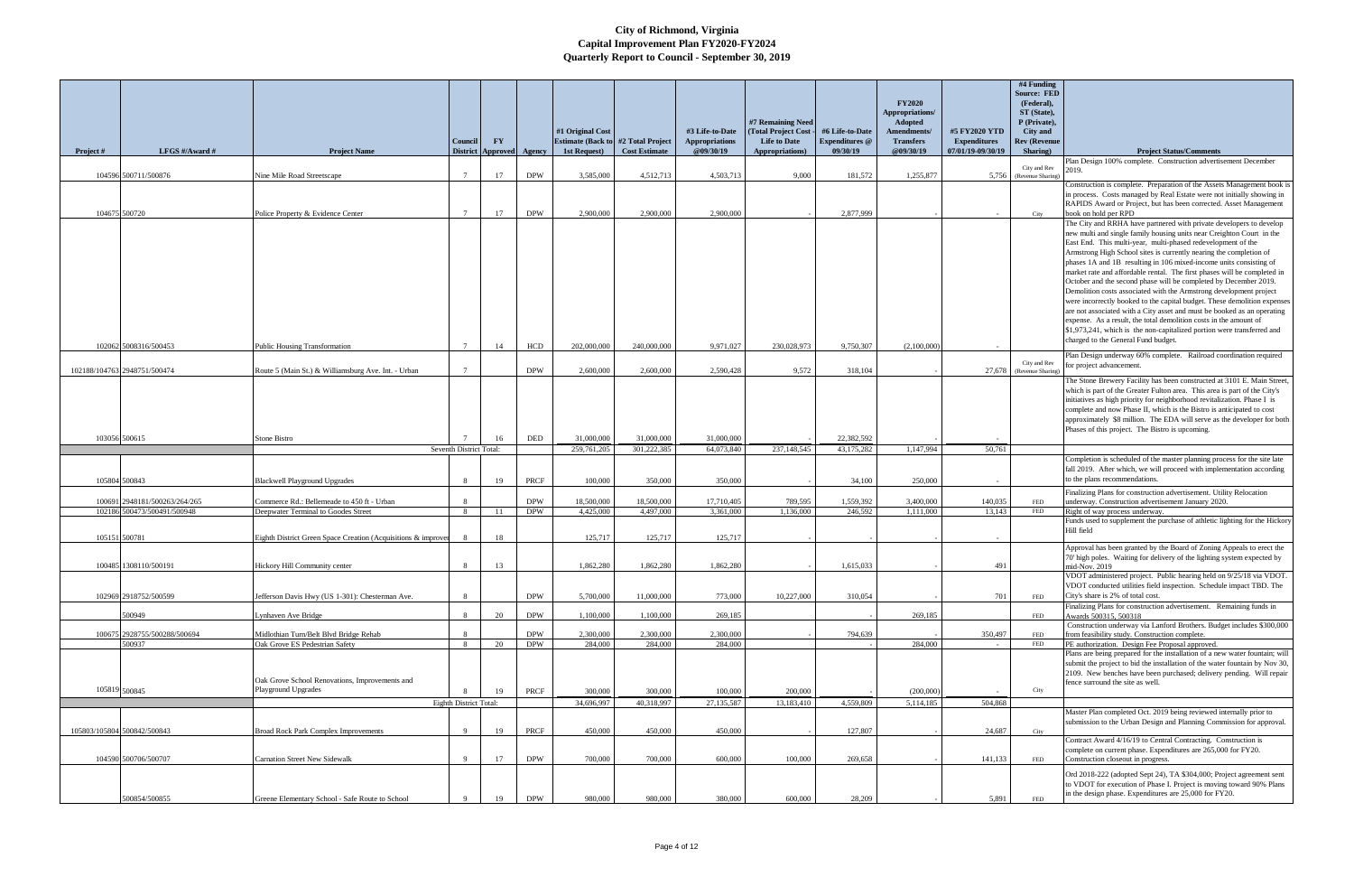| Project # | LFGS #/Award #                | <b>Project Name</b>                                                   | Council<br><b>District</b> | $\mathbf{F}\mathbf{Y}$<br>Approved | Agency      | #1 Original Cost<br><b>Estimate (Back to #2 Total Project)</b><br>1st Request) | <b>Cost Estimate</b> | #3 Life-to-Date<br>Appropriations<br>@09/30/19 | #7 Remaining Need<br>(Total Project Cost<br><b>Life to Date</b><br>Appropriations) | #6 Life-to-Date<br><b>Expenditures</b> @<br>09/30/19 | <b>FY2020</b><br>Appropriations/<br><b>Adopted</b><br>Amendments/<br><b>Transfers</b><br>@09/30/19 | #5 FY2020 YTD<br><b>Expenditures</b><br>07/01/19-09/30/19 | #4 Funding<br><b>Source: FED</b><br>(Federal),<br>ST (State),<br>P (Private).<br><b>City and</b><br><b>Rev (Revenue</b><br>Sharing) | <b>Project Status/Comments</b>                                                                                                                                                                                                                                                                                                                                                                                                                                                                                                                                                                                                                                                                                                                                                                                                                                                                                              |
|-----------|-------------------------------|-----------------------------------------------------------------------|----------------------------|------------------------------------|-------------|--------------------------------------------------------------------------------|----------------------|------------------------------------------------|------------------------------------------------------------------------------------|------------------------------------------------------|----------------------------------------------------------------------------------------------------|-----------------------------------------------------------|-------------------------------------------------------------------------------------------------------------------------------------|-----------------------------------------------------------------------------------------------------------------------------------------------------------------------------------------------------------------------------------------------------------------------------------------------------------------------------------------------------------------------------------------------------------------------------------------------------------------------------------------------------------------------------------------------------------------------------------------------------------------------------------------------------------------------------------------------------------------------------------------------------------------------------------------------------------------------------------------------------------------------------------------------------------------------------|
|           |                               |                                                                       |                            |                                    |             |                                                                                |                      |                                                |                                                                                    |                                                      |                                                                                                    |                                                           | City and Rev                                                                                                                        | Plan Design 100% complete. Construction advertisement December<br>2019.                                                                                                                                                                                                                                                                                                                                                                                                                                                                                                                                                                                                                                                                                                                                                                                                                                                     |
|           | 104596 500711/500876          | Nine Mile Road Streetscape                                            | $\overline{7}$             | 17                                 | <b>DPW</b>  | 3,585,000                                                                      | 4,512,713            | 4,503,713                                      | 9,000                                                                              | 181,572                                              | 1,255,877                                                                                          | 5,756                                                     | (Revenue Sharing)                                                                                                                   | Construction is complete. Preparation of the Assets Management book is                                                                                                                                                                                                                                                                                                                                                                                                                                                                                                                                                                                                                                                                                                                                                                                                                                                      |
|           | 104675 500720                 |                                                                       | $7\overline{ }$            | 17                                 | <b>DPW</b>  | 2,900,000                                                                      | 2,900,000            | 2,900,000                                      |                                                                                    | 2,877,999                                            |                                                                                                    |                                                           |                                                                                                                                     | in process. Costs managed by Real Estate were not initially showing in<br>RAPIDS Award or Project, but has been corrected. Asset Management<br>book on hold per RPD                                                                                                                                                                                                                                                                                                                                                                                                                                                                                                                                                                                                                                                                                                                                                         |
|           |                               | Police Property & Evidence Center                                     |                            |                                    |             |                                                                                |                      |                                                |                                                                                    |                                                      |                                                                                                    |                                                           | City                                                                                                                                | The City and RRHA have partnered with private developers to develop<br>new multi and single family housing units near Creighton Court in the<br>East End. This multi-year, multi-phased redevelopment of the<br>Armstrong High School sites is currently nearing the completion of<br>phases 1A and 1B resulting in 106 mixed-income units consisting of<br>market rate and affordable rental. The first phases will be completed in<br>October and the second phase will be completed by December 2019.<br>Demolition costs associated with the Armstrong development project<br>were incorrectly booked to the capital budget. These demolition expenses<br>are not associated with a City asset and must be booked as an operating<br>expense. As a result, the total demolition costs in the amount of<br>\$1,973,241, which is the non-capitalized portion were transferred and<br>charged to the General Fund budget. |
|           | 102062 5008316/500453         | <b>Public Housing Transformation</b>                                  | $7\phantom{.0}$            | 14                                 | HCD         | 202,000,000                                                                    | 240,000,000          | 9,971,027                                      | 230,028,973                                                                        | 9,750,307                                            | (2,100,000)                                                                                        |                                                           |                                                                                                                                     | Plan Design underway 60% complete. Railroad coordination required                                                                                                                                                                                                                                                                                                                                                                                                                                                                                                                                                                                                                                                                                                                                                                                                                                                           |
|           | 102188/104763 2948751/500474  | Route 5 (Main St.) & Williamsburg Ave. Int. - Urban                   |                            |                                    | <b>DPW</b>  | 2,600,000                                                                      | 2,600,000            | 2,590,428                                      | 9.572                                                                              | 318,104                                              |                                                                                                    | 27,678                                                    | City and Rev<br>(Revenue Sharing)                                                                                                   | for project advancement.                                                                                                                                                                                                                                                                                                                                                                                                                                                                                                                                                                                                                                                                                                                                                                                                                                                                                                    |
|           | 103056 500615                 | Stone Bistro                                                          |                            | 16                                 | DED         | 31,000,000                                                                     | 31,000,000           | 31,000,000                                     |                                                                                    | 22,382,592                                           |                                                                                                    |                                                           |                                                                                                                                     | The Stone Brewery Facility has been constructed at 3101 E. Main Street,<br>which is part of the Greater Fulton area. This area is part of the City's<br>initiatives as high priority for neighborhood revitalization. Phase I is<br>complete and now Phase II, which is the Bistro is anticipated to cost<br>approximately \$8 million. The EDA will serve as the developer for both<br>Phases of this project. The Bistro is upcoming.                                                                                                                                                                                                                                                                                                                                                                                                                                                                                     |
|           |                               |                                                                       | Seventh District Total:    |                                    |             | 259,761,205                                                                    | 301,222,385          | 64,073,840                                     | 237,148,545                                                                        | 43,175,282                                           | 1,147,994                                                                                          | 50,761                                                    |                                                                                                                                     |                                                                                                                                                                                                                                                                                                                                                                                                                                                                                                                                                                                                                                                                                                                                                                                                                                                                                                                             |
|           | 105804 500843                 | <b>Blackwell Playground Upgrades</b>                                  | -8                         | 19                                 | <b>PRCF</b> | 100,000                                                                        | 350,000              | 350,000                                        |                                                                                    | 34,100                                               | 250,000                                                                                            |                                                           |                                                                                                                                     | Completion is scheduled of the master planning process for the site late<br>fall 2019. After which, we will proceed with implementation according<br>to the plans recommendations.                                                                                                                                                                                                                                                                                                                                                                                                                                                                                                                                                                                                                                                                                                                                          |
|           | 100691 2948181/500263/264/265 | Commerce Rd.: Bellemeade to 450 ft - Urban                            | -8                         |                                    | <b>DPW</b>  | 18,500,000                                                                     | 18,500,000           | 17,710,405                                     | 789,595                                                                            | 1,559,392                                            | 3,400,000                                                                                          | 140,035                                                   | FED                                                                                                                                 | Finalizing Plans for construction advertisement. Utility Relocation<br>underway. Construction advertisement January 2020.                                                                                                                                                                                                                                                                                                                                                                                                                                                                                                                                                                                                                                                                                                                                                                                                   |
|           | 102186 500473/500491/500948   | Deepwater Terminal to Goodes Street                                   | 8                          | -11                                | <b>DPW</b>  | 4,425,000                                                                      | 4,497,000            | 3,361,000                                      | 1.136,000                                                                          | 246,592                                              | 1.111.000                                                                                          | 13,143                                                    | FED                                                                                                                                 | Right of way process underway.                                                                                                                                                                                                                                                                                                                                                                                                                                                                                                                                                                                                                                                                                                                                                                                                                                                                                              |
|           | 105151 500781                 | Eighth District Green Space Creation (Acquisitions & improver         |                            | 18                                 |             | 125,717                                                                        | 125,717              | 125,717                                        |                                                                                    |                                                      |                                                                                                    |                                                           |                                                                                                                                     | Funds used to supplement the purchase of athletic lighting for the Hickory<br>Hill field                                                                                                                                                                                                                                                                                                                                                                                                                                                                                                                                                                                                                                                                                                                                                                                                                                    |
|           | 100485 1308110/500191         | Hickory Hill Community center                                         | $\mathbf{8}$               | 13                                 |             | 1,862,280                                                                      | 1,862,280            | 1,862,280                                      |                                                                                    | 1,615,033                                            |                                                                                                    | 491                                                       |                                                                                                                                     | Approval has been granted by the Board of Zoning Appeals to erect the<br>70' high poles. Waiting for delivery of the lighting system expected by<br>nid-Nov. 2019                                                                                                                                                                                                                                                                                                                                                                                                                                                                                                                                                                                                                                                                                                                                                           |
|           | 102969 2918752/500599         | Jefferson Davis Hwy (US 1-301): Chesterman Ave.                       | 8                          |                                    | <b>DPW</b>  | 5,700,000                                                                      | 11,000,000           | 773,000                                        | 10,227,000                                                                         | 310,054                                              |                                                                                                    | 701                                                       | FED                                                                                                                                 | VDOT administered project. Public hearing held on 9/25/18 via VDOT<br>VDOT conducted utilities field inspection. Schedule impact TBD. The<br>City's share is 2% of total cost.                                                                                                                                                                                                                                                                                                                                                                                                                                                                                                                                                                                                                                                                                                                                              |
|           | 500949                        | Lynhaven Ave Bridge                                                   | 8                          | 20                                 | <b>DPW</b>  | 1,100,000                                                                      | 1,100,000            | 269,185                                        |                                                                                    |                                                      | 269,185                                                                                            |                                                           | FED                                                                                                                                 | Finalizing Plans for construction advertisement. Remaining funds in<br>Awards 500315, 500318                                                                                                                                                                                                                                                                                                                                                                                                                                                                                                                                                                                                                                                                                                                                                                                                                                |
|           | 100675 2928755/500288/500694  | Midlothian Turn/Belt Blvd Bridge Rehab                                | -8                         |                                    | <b>DPW</b>  | 2,300,000                                                                      | 2,300,000            | 2,300,000                                      |                                                                                    | 794,639                                              |                                                                                                    | 350,497                                                   | FED                                                                                                                                 | Construction underway via Lanford Brothers. Budget includes \$300,000<br>from feasibility study. Construction complete.                                                                                                                                                                                                                                                                                                                                                                                                                                                                                                                                                                                                                                                                                                                                                                                                     |
|           | 500937                        | Oak Grove ES Pedestrian Safety                                        | 8                          | 20                                 | <b>DPW</b>  | 284,000                                                                        | 284,000              | 284,000                                        |                                                                                    |                                                      | 284,000                                                                                            | $\sim$                                                    | FED                                                                                                                                 | PE authorization. Design Fee Proposal approved.<br>Plans are being prepared for the installation of a new water fountain; will                                                                                                                                                                                                                                                                                                                                                                                                                                                                                                                                                                                                                                                                                                                                                                                              |
|           | 105819 500845                 | Oak Grove School Renovations, Improvements and<br>Playground Upgrades |                            | 19                                 | PRCF        | 300,000                                                                        | 300,000              | 100,000                                        | 200,000                                                                            |                                                      | (200,000)                                                                                          |                                                           | City                                                                                                                                | submit the project to bid the installation of the water fountain by Nov 30,<br>2109. New benches have been purchased; delivery pending. Will repair<br>fence surround the site as well.                                                                                                                                                                                                                                                                                                                                                                                                                                                                                                                                                                                                                                                                                                                                     |
|           |                               |                                                                       | Eighth District Total:     |                                    |             | 34,696,997                                                                     | 40,318,997           | 27,135,587                                     | 13,183,410                                                                         | 4,559,809                                            | 5,114,185                                                                                          | 504,868                                                   |                                                                                                                                     |                                                                                                                                                                                                                                                                                                                                                                                                                                                                                                                                                                                                                                                                                                                                                                                                                                                                                                                             |
|           | 105803/105804 500842/500843   | <b>Broad Rock Park Complex Improvements</b>                           | 9                          | 19                                 | PRCF        | 450,000                                                                        | 450,000              | 450,000                                        |                                                                                    | 127,807                                              |                                                                                                    | 24,687                                                    | City                                                                                                                                | Master Plan completed Oct. 2019 being reviewed internally prior to<br>submission to the Urban Design and Planning Commission for approval.                                                                                                                                                                                                                                                                                                                                                                                                                                                                                                                                                                                                                                                                                                                                                                                  |
|           | 104590 500706/500707          | <b>Carnation Street New Sidewalk</b>                                  | Q                          | 17                                 | <b>DPW</b>  | 700,000                                                                        | 700,000              | 600,000                                        | 100,000                                                                            | 269,658                                              |                                                                                                    | 141,133                                                   | FED                                                                                                                                 | Contract Award 4/16/19 to Central Contracting. Construction is<br>complete on current phase. Expenditures are 265,000 for FY20.<br>Construction closeout in progress.                                                                                                                                                                                                                                                                                                                                                                                                                                                                                                                                                                                                                                                                                                                                                       |
|           |                               |                                                                       |                            |                                    |             |                                                                                |                      |                                                |                                                                                    |                                                      |                                                                                                    |                                                           |                                                                                                                                     | Ord 2018-222 (adopted Sept 24), TA \$304,000; Project agreement sent<br>to VDOT for execution of Phase I. Project is moving toward 90% Plans<br>in the design phase. Expenditures are 25,000 for FY20.                                                                                                                                                                                                                                                                                                                                                                                                                                                                                                                                                                                                                                                                                                                      |
|           | 500854/500855                 | Greene Elementary School - Safe Route to School                       |                            | 19                                 | <b>DPW</b>  | 980,000                                                                        | 980,000              | 380,000                                        | 600,000                                                                            | 28,209                                               |                                                                                                    | 5,891                                                     | <b>FED</b>                                                                                                                          |                                                                                                                                                                                                                                                                                                                                                                                                                                                                                                                                                                                                                                                                                                                                                                                                                                                                                                                             |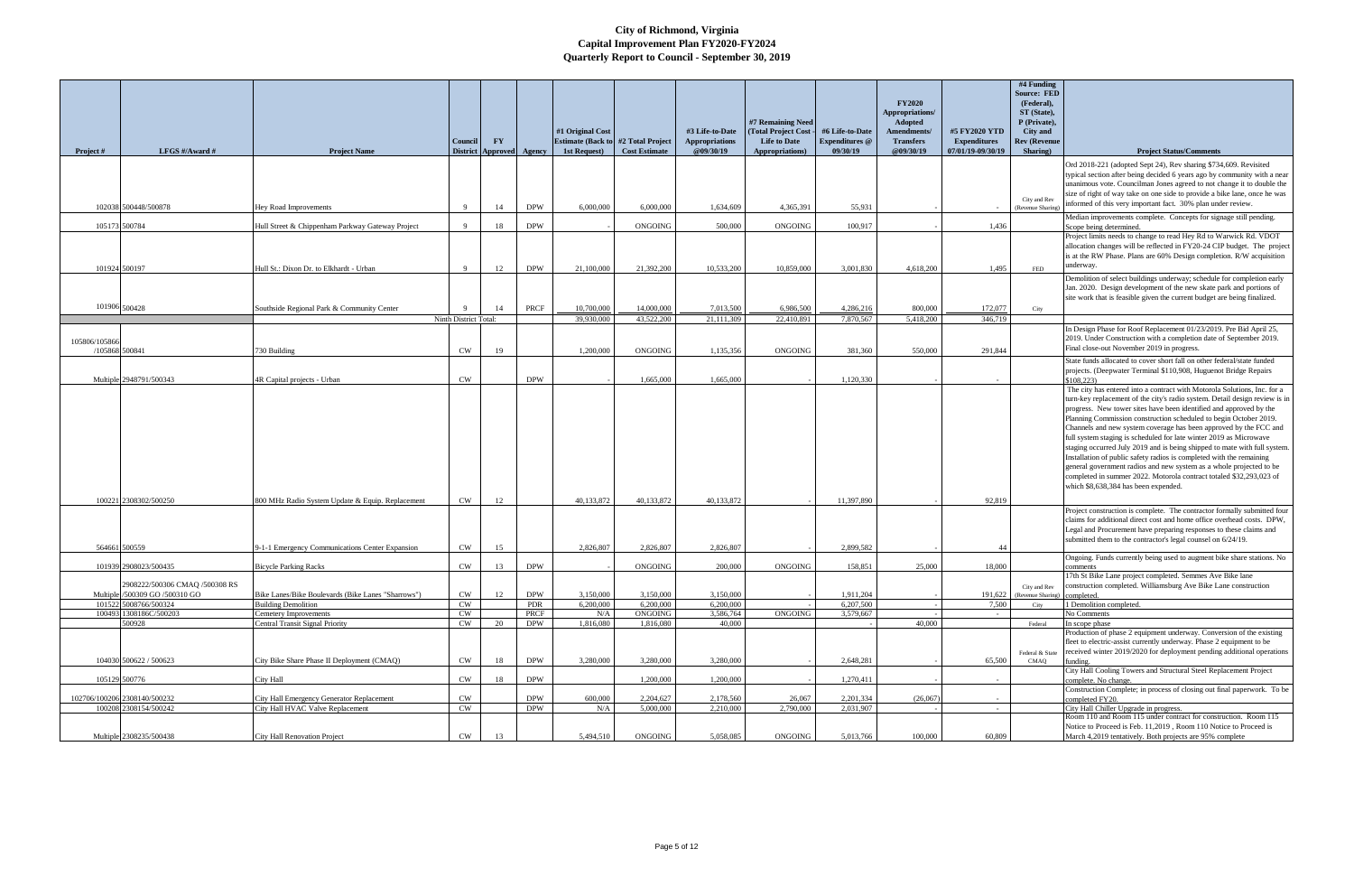|                |                                                         |                                                                                  |                            |                        |                   |                                                            |                        |                                    |                                        |                                   | <b>FY2020</b>                     |                                          | #4 Funding<br><b>Source: FED</b><br>(Federal), |                                                                                                                                                         |
|----------------|---------------------------------------------------------|----------------------------------------------------------------------------------|----------------------------|------------------------|-------------------|------------------------------------------------------------|------------------------|------------------------------------|----------------------------------------|-----------------------------------|-----------------------------------|------------------------------------------|------------------------------------------------|---------------------------------------------------------------------------------------------------------------------------------------------------------|
|                |                                                         |                                                                                  |                            |                        |                   |                                                            |                        |                                    | #7 Remaining Need                      |                                   | Appropriations/<br><b>Adopted</b> |                                          | ST (State),<br>P (Private),                    |                                                                                                                                                         |
|                |                                                         |                                                                                  |                            |                        |                   | #1 Original Cost                                           |                        | #3 Life-to-Date                    | (Total Project Cost                    | #6 Life-to-Date                   | <b>Amendments/</b>                | #5 FY2020 YTD                            | City and                                       |                                                                                                                                                         |
| Project #      | LFGS #/Award #                                          | <b>Project Name</b>                                                              | Council<br><b>District</b> | $\mathbf{F}\mathbf{Y}$ | Approved Agency   | <b>Estimate (Back to #2 Total Project)</b><br>1st Request) | <b>Cost Estimate</b>   | <b>Appropriations</b><br>@09/30/19 | <b>Life to Date</b><br>Appropriations) | <b>Expenditures</b> @<br>09/30/19 | <b>Transfers</b><br>@09/30/19     | <b>Expenditures</b><br>07/01/19-09/30/19 | <b>Rev (Revenue</b><br>Sharing)                | <b>Project Status/Comments</b>                                                                                                                          |
|                |                                                         |                                                                                  |                            |                        |                   |                                                            |                        |                                    |                                        |                                   |                                   |                                          |                                                | Ord 2018-221 (adopted Sept 24), Rev sharing \$734,609. Revisited                                                                                        |
|                |                                                         |                                                                                  |                            |                        |                   |                                                            |                        |                                    |                                        |                                   |                                   |                                          |                                                | typical section after being decided 6 years ago by community with a near                                                                                |
|                |                                                         |                                                                                  |                            |                        |                   |                                                            |                        |                                    |                                        |                                   |                                   |                                          |                                                | unanimous vote. Councilman Jones agreed to not change it to double the                                                                                  |
|                |                                                         |                                                                                  |                            |                        |                   |                                                            |                        |                                    |                                        |                                   |                                   |                                          | City and Rev                                   | size of right of way take on one side to provide a bike lane, once he was<br>nformed of this very important fact. 30% plan under review.                |
|                | 102038 500448/500878                                    | <b>Hev Road Improvements</b>                                                     | $\mathbf{Q}$               | 14                     | <b>DPW</b>        | 6,000,000                                                  | 6.000,000              | 1,634,609                          | 4.365.391                              | 55.931                            |                                   |                                          | (Revenue Sharing                               | Median improvements complete. Concepts for signage still pending.                                                                                       |
| 105173 500784  |                                                         | Hull Street & Chippenham Parkway Gateway Project                                 | $\mathbf{Q}$               | 18                     | <b>DPW</b>        |                                                            | ONGOING                | 500,000                            | <b>ONGOING</b>                         | 100,917                           |                                   | 1,436                                    |                                                | Scope being determined.                                                                                                                                 |
|                |                                                         |                                                                                  |                            |                        |                   |                                                            |                        |                                    |                                        |                                   |                                   |                                          |                                                | Project limits needs to change to read Hey Rd to Warwick Rd. VDOT<br>allocation changes will be reflected in FY20-24 CIP budget. The project            |
|                |                                                         |                                                                                  |                            |                        |                   |                                                            |                        |                                    |                                        |                                   |                                   |                                          |                                                | is at the RW Phase. Plans are 60% Design completion. R/W acquisition                                                                                    |
| 101924 500197  |                                                         | Hull St.: Dixon Dr. to Elkhardt - Urban                                          | $\alpha$                   | 12                     | <b>DPW</b>        | 21,100,000                                                 | 21,392,200             | 10,533,200                         | 10,859,000                             | 3.001.830                         | 4,618,200                         | 1,495                                    | <b>FED</b>                                     | underway.                                                                                                                                               |
|                |                                                         |                                                                                  |                            |                        |                   |                                                            |                        |                                    |                                        |                                   |                                   |                                          |                                                | Demolition of select buildings underway; schedule for completion early                                                                                  |
|                |                                                         |                                                                                  |                            |                        |                   |                                                            |                        |                                    |                                        |                                   |                                   |                                          |                                                | Jan. 2020. Design development of the new skate park and portions of                                                                                     |
|                | 101906 500428                                           | Southside Regional Park & Community Center                                       |                            | 14                     | <b>PRCF</b>       | 10,700,000                                                 | 14,000,000             | 7,013,500                          | 6,986,500                              | 4,286,216                         | 800,000                           | 172,077                                  | City                                           | site work that is feasible given the current budget are being finalized.                                                                                |
|                |                                                         |                                                                                  | Ninth District Total:      |                        |                   | 39,930,000                                                 | 43,522,200             | 21,111,309                         | 22,410,891                             | 7,870,567                         | 5,418,200                         | 346,719                                  |                                                |                                                                                                                                                         |
|                |                                                         |                                                                                  |                            |                        |                   |                                                            |                        |                                    |                                        |                                   |                                   |                                          |                                                | In Design Phase for Roof Replacement 01/23/2019. Pre Bid April 25,                                                                                      |
| 105806/105866  |                                                         |                                                                                  |                            |                        |                   |                                                            |                        |                                    |                                        |                                   |                                   |                                          |                                                | 2019. Under Construction with a completion date of September 2019.                                                                                      |
| /105868 500841 |                                                         | 730 Building                                                                     | <b>CW</b>                  | 19                     |                   | 1,200,000                                                  | <b>ONGOING</b>         | 1,135,356                          | <b>ONGOING</b>                         | 381,360                           | 550,000                           | 291,844                                  |                                                | Final close-out November 2019 in progress.<br>State funds allocated to cover short fall on other federal/state funded                                   |
|                |                                                         |                                                                                  |                            |                        |                   |                                                            |                        |                                    |                                        |                                   |                                   |                                          |                                                | projects. (Deepwater Terminal \$110,908, Huguenot Bridge Repairs                                                                                        |
|                | Multiple 2948791/500343                                 | 4R Capital projects - Urban                                                      | CW                         |                        | <b>DPW</b>        |                                                            | 1,665,000              | 1,665,000                          |                                        | 1,120,330                         |                                   |                                          |                                                | \$108.223)                                                                                                                                              |
|                |                                                         |                                                                                  |                            |                        |                   |                                                            |                        |                                    |                                        |                                   |                                   |                                          |                                                | The city has entered into a contract with Motorola Solutions, Inc. for a<br>turn-key replacement of the city's radio system. Detail design review is in |
|                |                                                         |                                                                                  |                            |                        |                   |                                                            |                        |                                    |                                        |                                   |                                   |                                          |                                                | progress. New tower sites have been identified and approved by the                                                                                      |
|                |                                                         |                                                                                  |                            |                        |                   |                                                            |                        |                                    |                                        |                                   |                                   |                                          |                                                | Planning Commission construction scheduled to begin October 2019.                                                                                       |
|                |                                                         |                                                                                  |                            |                        |                   |                                                            |                        |                                    |                                        |                                   |                                   |                                          |                                                | Channels and new system coverage has been approved by the FCC and                                                                                       |
|                |                                                         |                                                                                  |                            |                        |                   |                                                            |                        |                                    |                                        |                                   |                                   |                                          |                                                | full system staging is scheduled for late winter 2019 as Microwave<br>staging occurred July 2019 and is being shipped to mate with full system.         |
|                |                                                         |                                                                                  |                            |                        |                   |                                                            |                        |                                    |                                        |                                   |                                   |                                          |                                                | Installation of public safety radios is completed with the remaining                                                                                    |
|                |                                                         |                                                                                  |                            |                        |                   |                                                            |                        |                                    |                                        |                                   |                                   |                                          |                                                | general government radios and new system as a whole projected to be                                                                                     |
|                |                                                         |                                                                                  |                            |                        |                   |                                                            |                        |                                    |                                        |                                   |                                   |                                          |                                                | completed in summer 2022. Motorola contract totaled \$32,293,023 of<br>which \$8,638,384 has been expended.                                             |
|                | 100221 2308302/500250                                   | 800 MHz Radio System Update & Equip. Replacement                                 | <b>CW</b>                  | 12                     |                   | 40.133.872                                                 | 40.133.872             | 40.133.872                         |                                        | 11.397.890                        |                                   | 92,819                                   |                                                |                                                                                                                                                         |
|                |                                                         |                                                                                  |                            |                        |                   |                                                            |                        |                                    |                                        |                                   |                                   |                                          |                                                | Project construction is complete. The contractor formally submitted four                                                                                |
|                |                                                         |                                                                                  |                            |                        |                   |                                                            |                        |                                    |                                        |                                   |                                   |                                          |                                                | claims for additional direct cost and home office overhead costs. DPW,                                                                                  |
|                |                                                         |                                                                                  |                            |                        |                   |                                                            |                        |                                    |                                        |                                   |                                   |                                          |                                                | Legal and Procurement have preparing responses to these claims and<br>submitted them to the contractor's legal counsel on 6/24/19.                      |
|                | 564661 500559                                           | 9-1-1 Emergency Communications Center Expansion                                  | <b>CW</b>                  | 15                     |                   | 2,826,807                                                  | 2,826,807              | 2,826,807                          |                                        | 2,899,582                         |                                   | 44                                       |                                                |                                                                                                                                                         |
|                | 101939 2908023/500435                                   | <b>Bicycle Parking Racks</b>                                                     | CW                         | 13                     | <b>DPW</b>        |                                                            | ONGOING                | 200,000                            | <b>ONGOING</b>                         | 158,851                           | 25,000                            | 18,000                                   |                                                | Ongoing. Funds currently being used to augment bike share stations. No                                                                                  |
|                |                                                         |                                                                                  |                            |                        |                   |                                                            |                        |                                    |                                        |                                   |                                   |                                          |                                                | comments<br>7th St Bike Lane project completed. Semmes Ave Bike lane                                                                                    |
|                | 2908222/500306 CMAQ /500308 RS                          |                                                                                  |                            |                        |                   |                                                            |                        |                                    |                                        |                                   |                                   |                                          | City and Rev                                   | construction completed. Williamsburg Ave Bike Lane construction                                                                                         |
|                | Multiple /500309 GO /500310 GO<br>101522 5008766/500324 | Bike Lanes/Bike Boulevards (Bike Lanes "Sharrows")<br><b>Building Demolition</b> | CW<br>CW                   | 12                     | <b>DPW</b><br>PDR | 3,150,000<br>6,200,000                                     | 3,150,000<br>6,200,000 | 3,150,000<br>6,200,000             |                                        | 1,911,204<br>6,207,500            |                                   | 191,622<br>7,500                         | (Revenue Sharing)<br>City                      | completed.<br>Demolition completed.                                                                                                                     |
|                | 100493 1308186C/500203                                  | Cemetery Improvements                                                            | CW                         |                        | PRCF              | N/A                                                        | <b>ONGOING</b>         | 3,586,764                          | ONGOING                                | 3,579,667                         |                                   |                                          |                                                | No Comments                                                                                                                                             |
|                | 500928                                                  | <b>Central Transit Signal Priority</b>                                           | CW                         | 20                     | <b>DPW</b>        | 1,816,080                                                  | 1,816,080              | 40,000                             |                                        |                                   | 40,000                            |                                          | Federal                                        | In scope phase                                                                                                                                          |
|                |                                                         |                                                                                  |                            |                        |                   |                                                            |                        |                                    |                                        |                                   |                                   |                                          |                                                | Production of phase 2 equipment underway. Conversion of the existing<br>fleet to electric-assist currently underway. Phase 2 equipment to be            |
|                |                                                         |                                                                                  |                            |                        |                   |                                                            |                        |                                    |                                        |                                   |                                   |                                          | Federal & State                                | received winter 2019/2020 for deployment pending additional operations                                                                                  |
|                | 104030 500622 / 500623                                  | City Bike Share Phase II Deployment (CMAQ)                                       | CW                         | 18                     | <b>DPW</b>        | 3,280,000                                                  | 3.280,000              | 3.280,000                          |                                        | 2,648,281                         |                                   | 65,500                                   | CMAQ                                           | ùnding.                                                                                                                                                 |
|                | 105129 500776                                           | <b>City Hall</b>                                                                 | CW                         | 18                     | $\mathbf{DPW}$    |                                                            | 1,200,000              | 1,200,000                          |                                        | 1,270,411                         |                                   |                                          |                                                | City Hall Cooling Towers and Structural Steel Replacement Project<br>complete. No change.                                                               |
|                |                                                         |                                                                                  |                            |                        |                   |                                                            |                        |                                    |                                        |                                   |                                   |                                          |                                                | Construction Complete; in process of closing out final paperwork. To be                                                                                 |
|                | 102706/100206 2308140/500232                            | City Hall Emergency Generator Replacement                                        | CW                         |                        | <b>DPW</b>        | 600,000                                                    | 2,204,627              | 2,178,560                          | 26,067                                 | 2,201,334                         | (26,067)                          | $\sim$                                   |                                                | completed FY20.                                                                                                                                         |
|                | 100208 2308154/500242                                   | City Hall HVAC Valve Replacement                                                 | <b>CW</b>                  |                        | <b>DPW</b>        | N/A                                                        | 5,000,000              | 2,210,000                          | 2,790,000                              | 2,031,907                         |                                   |                                          |                                                | City Hall Chiller Upgrade in progress.<br>Room 110 and Room 115 under contract for construction. Room 115                                               |
|                |                                                         |                                                                                  |                            |                        |                   |                                                            |                        |                                    |                                        |                                   |                                   |                                          |                                                | Notice to Proceed is Feb. 11,2019, Room 110 Notice to Proceed is                                                                                        |
|                | Multiple 2308235/500438                                 | City Hall Renovation Project                                                     | <b>CW</b>                  | 13                     |                   | 5,494,510                                                  | ONGOING                | 5,058,085                          | ONGOING                                | 5,013,766                         | 100,000                           | 60,809                                   |                                                | March 4,2019 tentatively. Both projects are 95% complete                                                                                                |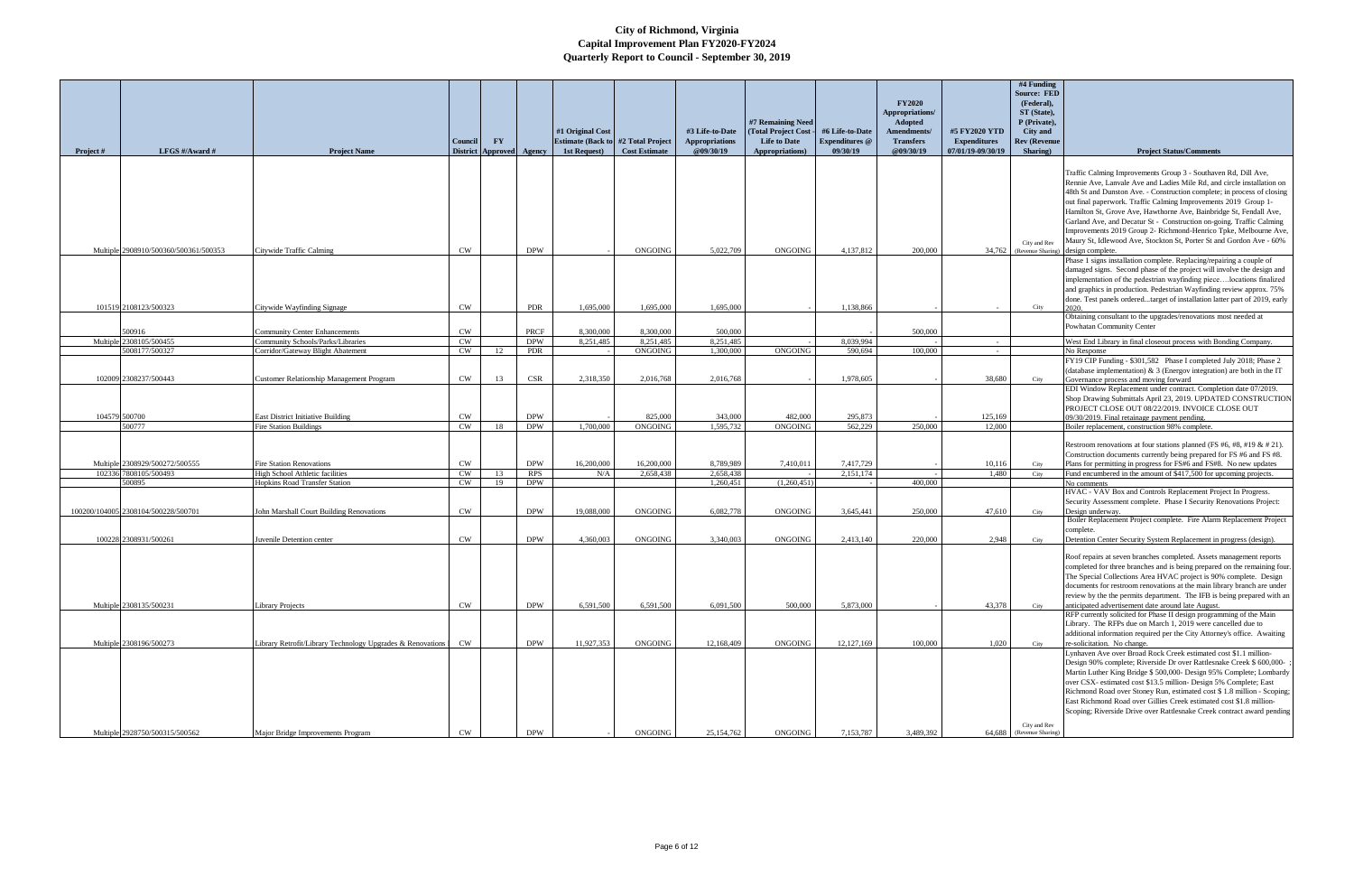| Project# | LFGS #/Award #                        | <b>Project Name</b>                                                       | Council<br><b>District</b> | <b>FY</b> | Approved Agency    | #1 Original Cost<br><b>Estimate (Back to #2 Total Project)</b><br>1st Request) | <b>Cost Estimate</b>   | #3 Life-to-Date<br><b>Appropriations</b><br>@09/30/19 | #7 Remaining Need<br>(Total Project Cost<br><b>Life to Date</b><br>Appropriations) | #6 Life-to-Date<br><b>Expenditures</b> @<br>09/30/19 | <b>FY2020</b><br>Appropriations/<br>Adopted<br>Amendments/<br><b>Transfers</b><br>@09/30/19 | #5 FY2020 YTD<br><b>Expenditures</b><br>07/01/19-09/30/19 | #4 Funding<br><b>Source: FED</b><br>(Federal),<br>ST (State),<br>P (Private),<br><b>City</b> and<br><b>Rev (Revenue</b><br>Sharing) | <b>Project Status/Comments</b>                                                                                                                                                                                      |
|----------|---------------------------------------|---------------------------------------------------------------------------|----------------------------|-----------|--------------------|--------------------------------------------------------------------------------|------------------------|-------------------------------------------------------|------------------------------------------------------------------------------------|------------------------------------------------------|---------------------------------------------------------------------------------------------|-----------------------------------------------------------|-------------------------------------------------------------------------------------------------------------------------------------|---------------------------------------------------------------------------------------------------------------------------------------------------------------------------------------------------------------------|
|          |                                       |                                                                           |                            |           |                    |                                                                                |                        |                                                       |                                                                                    |                                                      |                                                                                             |                                                           |                                                                                                                                     |                                                                                                                                                                                                                     |
|          |                                       |                                                                           |                            |           |                    |                                                                                |                        |                                                       |                                                                                    |                                                      |                                                                                             |                                                           |                                                                                                                                     | Traffic Calming Improvements Group 3 - Southaven Rd, Dill Ave,<br>Rennie Ave, Lanvale Ave and Ladies Mile Rd, and circle installation on<br>48th St and Dunston Ave. - Construction complete; in process of closing |
|          |                                       |                                                                           |                            |           |                    |                                                                                |                        |                                                       |                                                                                    |                                                      |                                                                                             |                                                           |                                                                                                                                     | out final paperwork. Traffic Calming Improvements 2019 Group 1-<br>Hamilton St, Grove Ave, Hawthorne Ave, Bainbridge St, Fendall Ave,                                                                               |
|          |                                       |                                                                           |                            |           |                    |                                                                                |                        |                                                       |                                                                                    |                                                      |                                                                                             |                                                           |                                                                                                                                     | Garland Ave, and Decatur St - Construction on-going. Traffic Calming<br>Improvements 2019 Group 2- Richmond-Henrico Tpke, Melbourne Ave,                                                                            |
|          |                                       |                                                                           |                            |           |                    |                                                                                |                        |                                                       |                                                                                    |                                                      |                                                                                             |                                                           | City and Rev                                                                                                                        | Maury St, Idlewood Ave, Stockton St, Porter St and Gordon Ave - 60%                                                                                                                                                 |
|          | Multiple 2908910/500360/500361/500353 | Citywide Traffic Calming                                                  | CW                         |           | <b>DPW</b>         |                                                                                | <b>ONGOING</b>         | 5,022,709                                             | <b>ONGOING</b>                                                                     | 4,137,812                                            | 200,000                                                                                     |                                                           |                                                                                                                                     | 34,762 (Revenue Sharing) design complete.                                                                                                                                                                           |
|          |                                       |                                                                           |                            |           |                    |                                                                                |                        |                                                       |                                                                                    |                                                      |                                                                                             |                                                           |                                                                                                                                     | Phase 1 signs installation complete. Replacing/repairing a couple of<br>damaged signs. Second phase of the project will involve the design and                                                                      |
|          |                                       |                                                                           |                            |           |                    |                                                                                |                        |                                                       |                                                                                    |                                                      |                                                                                             |                                                           |                                                                                                                                     | implementation of the pedestrian wayfinding piecelocations finalized                                                                                                                                                |
|          |                                       |                                                                           |                            |           |                    |                                                                                |                        |                                                       |                                                                                    |                                                      |                                                                                             |                                                           |                                                                                                                                     | and graphics in production. Pedestrian Wayfinding review approx. 75%                                                                                                                                                |
|          |                                       |                                                                           |                            |           |                    |                                                                                |                        |                                                       |                                                                                    |                                                      |                                                                                             |                                                           |                                                                                                                                     | done. Test panels orderedtarget of installation latter part of 2019, early                                                                                                                                          |
|          | 101519 2108123/500323                 | Citywide Wayfinding Signage                                               | <b>CW</b>                  |           | <b>PDR</b>         | 1,695,000                                                                      | 1,695,000              | 1,695,000                                             |                                                                                    | 1,138,866                                            |                                                                                             |                                                           | City                                                                                                                                | Obtaining consultant to the upgrades/renovations most needed at                                                                                                                                                     |
|          |                                       |                                                                           |                            |           |                    |                                                                                |                        |                                                       |                                                                                    |                                                      |                                                                                             |                                                           |                                                                                                                                     | Powhatan Community Center                                                                                                                                                                                           |
|          | 500916<br>Multiple 2308105/500455     | <b>Community Center Enhancements</b><br>Community Schools/Parks/Libraries | CW<br>CW                   |           | PRCF<br><b>DPW</b> | 8,300,000<br>8,251,485                                                         | 8,300,000<br>8,251,485 | 500,000<br>8,251,485                                  |                                                                                    | 8.039.994                                            | 500,000                                                                                     |                                                           |                                                                                                                                     |                                                                                                                                                                                                                     |
|          | 5008177/500327                        | Corridor/Gateway Blight Abatement                                         | CW                         | 12        | <b>PDR</b>         |                                                                                | <b>ONGOING</b>         | 1.300.000                                             | <b>ONGOING</b>                                                                     | 590.694                                              | 100,000                                                                                     | $\sim$<br>$\sim$                                          |                                                                                                                                     | West End Library in final closeout process with Bonding Company.<br>No Response                                                                                                                                     |
|          |                                       |                                                                           |                            |           |                    |                                                                                |                        |                                                       |                                                                                    |                                                      |                                                                                             |                                                           |                                                                                                                                     | FY19 CIP Funding - \$301,582 Phase I completed July 2018; Phase 2                                                                                                                                                   |
|          |                                       |                                                                           |                            |           |                    |                                                                                |                        |                                                       |                                                                                    |                                                      |                                                                                             |                                                           |                                                                                                                                     | (database implementation) & 3 (Energov integration) are both in the IT                                                                                                                                              |
|          | 102009 2308237/500443                 | Customer Relationship Management Program                                  | CW                         | 13        | CSR                | 2.318.350                                                                      | 2,016,768              | 2.016.768                                             |                                                                                    | 1,978,605                                            |                                                                                             | 38,680                                                    | City                                                                                                                                | Governance process and moving forward<br>EDI Window Replacement under contract. Completion date 07/2019.                                                                                                            |
|          |                                       |                                                                           |                            |           |                    |                                                                                |                        |                                                       |                                                                                    |                                                      |                                                                                             |                                                           |                                                                                                                                     | Shop Drawing Submittals April 23, 2019. UPDATED CONSTRUCTION                                                                                                                                                        |
|          |                                       |                                                                           |                            |           |                    |                                                                                |                        |                                                       |                                                                                    |                                                      |                                                                                             |                                                           |                                                                                                                                     | PROJECT CLOSE OUT 08/22/2019. INVOICE CLOSE OUT                                                                                                                                                                     |
|          | 104579 500700                         | <b>East District Initiative Building</b>                                  | <b>CW</b>                  |           | <b>DPW</b>         |                                                                                | 825,000                | 343,000                                               | 482,000                                                                            | 295,873                                              |                                                                                             | 125,169                                                   |                                                                                                                                     | 09/30/2019. Final retainage payment pending.                                                                                                                                                                        |
|          | 500777                                | <b>Fire Station Buildings</b>                                             | <b>CW</b>                  | 18        | <b>DPW</b>         | 1,700,000                                                                      | <b>ONGOING</b>         | 1,595,732                                             | ONGOING                                                                            | 562,229                                              | 250,000                                                                                     | 12,000                                                    |                                                                                                                                     | Boiler replacement, construction 98% complete.                                                                                                                                                                      |
|          |                                       |                                                                           |                            |           |                    |                                                                                |                        |                                                       |                                                                                    |                                                      |                                                                                             |                                                           |                                                                                                                                     | Restroom renovations at four stations planned (FS #6, #8, #19 & # 21).<br>Construction documents currently being prepared for FS #6 and FS #8.                                                                      |
|          | Multiple 2308929/500272/500555        | <b>Fire Station Renovations</b>                                           | CW                         |           | <b>DPW</b>         | 16,200,000                                                                     | 16,200,000             | 8,789,989                                             | 7,410,011                                                                          | 7,417,729                                            |                                                                                             | 10,116                                                    | City                                                                                                                                | Plans for permitting in progress for FS#6 and FS#8. No new updates                                                                                                                                                  |
|          | 102336 7808105/500493                 | High School Athletic facilities                                           | CW                         | 13        | <b>RPS</b>         | N/A                                                                            | 2.658,438              | 2,658,438                                             |                                                                                    | 2,151,174                                            |                                                                                             | 1,480                                                     | City                                                                                                                                | Fund encumbered in the amount of \$417,500 for upcoming projects.                                                                                                                                                   |
|          | 500895                                | <b>Hopkins Road Transfer Station</b>                                      | <b>CW</b>                  | 19        | <b>DPW</b>         |                                                                                |                        | 1,260,451                                             | (1,260,451)                                                                        |                                                      | 400,000                                                                                     |                                                           |                                                                                                                                     | No comments<br>HVAC - VAV Box and Controls Replacement Project In Progress.                                                                                                                                         |
|          |                                       |                                                                           |                            |           |                    |                                                                                |                        |                                                       |                                                                                    |                                                      |                                                                                             |                                                           |                                                                                                                                     | Security Assessment complete. Phase I Security Renovations Project:                                                                                                                                                 |
|          | 100200/104005 2308104/500228/500701   | John Marshall Court Building Renovations                                  | CW                         |           | <b>DPW</b>         | 19,088,000                                                                     | ONGOING                | 6,082,778                                             | <b>ONGOING</b>                                                                     | 3,645,441                                            | 250,000                                                                                     | 47,610                                                    | City                                                                                                                                | Design underway.                                                                                                                                                                                                    |
|          |                                       |                                                                           |                            |           |                    |                                                                                |                        |                                                       |                                                                                    |                                                      |                                                                                             |                                                           |                                                                                                                                     | Boiler Replacement Project complete. Fire Alarm Replacement Project                                                                                                                                                 |
|          | 100228 2308931/500261                 | Juvenile Detention center                                                 | CW                         |           | <b>DPW</b>         | 4,360,003                                                                      | ONGOING                | 3,340,003                                             | <b>ONGOING</b>                                                                     | 2,413,140                                            | 220,000                                                                                     | 2,948                                                     | City                                                                                                                                | complete.<br>Detention Center Security System Replacement in progress (design).                                                                                                                                     |
|          |                                       |                                                                           |                            |           |                    |                                                                                |                        |                                                       |                                                                                    |                                                      |                                                                                             |                                                           |                                                                                                                                     | Roof repairs at seven branches completed. Assets management reports                                                                                                                                                 |
|          |                                       |                                                                           |                            |           |                    |                                                                                |                        |                                                       |                                                                                    |                                                      |                                                                                             |                                                           |                                                                                                                                     | completed for three branches and is being prepared on the remaining four.                                                                                                                                           |
|          |                                       |                                                                           |                            |           |                    |                                                                                |                        |                                                       |                                                                                    |                                                      |                                                                                             |                                                           |                                                                                                                                     | The Special Collections Area HVAC project is 90% complete. Design                                                                                                                                                   |
|          |                                       |                                                                           |                            |           |                    |                                                                                |                        |                                                       |                                                                                    |                                                      |                                                                                             |                                                           |                                                                                                                                     | documents for restroom renovations at the main library branch are under                                                                                                                                             |
|          | Multiple 2308135/500231               | <b>Library Projects</b>                                                   | <b>CW</b>                  |           | <b>DPW</b>         | 6,591,500                                                                      | 6,591,500              | 6,091,500                                             | 500,000                                                                            | 5,873,000                                            |                                                                                             | 43,378                                                    | City                                                                                                                                | review by the the permits department. The IFB is being prepared with an<br>anticipated advertisement date around late August.                                                                                       |
|          |                                       |                                                                           |                            |           |                    |                                                                                |                        |                                                       |                                                                                    |                                                      |                                                                                             |                                                           |                                                                                                                                     | RFP currently solicited for Phase II design programming of the Main                                                                                                                                                 |
|          |                                       |                                                                           |                            |           |                    |                                                                                |                        |                                                       |                                                                                    |                                                      |                                                                                             |                                                           |                                                                                                                                     | Library. The RFPs due on March 1, 2019 were cancelled due to                                                                                                                                                        |
|          |                                       |                                                                           |                            |           |                    |                                                                                |                        |                                                       |                                                                                    |                                                      |                                                                                             |                                                           |                                                                                                                                     | additional information required per the City Attorney's office. Awaiting                                                                                                                                            |
|          | Multiple 2308196/500273               | Library Retrofit/Library Technology Upgrades & Renovations I              | <b>CW</b>                  |           | <b>DPW</b>         | 11,927,353                                                                     | <b>ONGOING</b>         | 12,168,409                                            | <b>ONGOING</b>                                                                     | 12,127,169                                           | 100,000                                                                                     | 1,020                                                     | City                                                                                                                                | re-solicitation. No change.<br>Lynhaven Ave over Broad Rock Creek estimated cost \$1.1 million-                                                                                                                     |
|          |                                       |                                                                           |                            |           |                    |                                                                                |                        |                                                       |                                                                                    |                                                      |                                                                                             |                                                           |                                                                                                                                     | Design 90% complete; Riverside Dr over Rattlesnake Creek \$ 600,000-                                                                                                                                                |
|          |                                       |                                                                           |                            |           |                    |                                                                                |                        |                                                       |                                                                                    |                                                      |                                                                                             |                                                           |                                                                                                                                     | Martin Luther King Bridge \$ 500,000- Design 95% Complete; Lombardy                                                                                                                                                 |
|          |                                       |                                                                           |                            |           |                    |                                                                                |                        |                                                       |                                                                                    |                                                      |                                                                                             |                                                           |                                                                                                                                     | over CSX- estimated cost \$13.5 million- Design 5% Complete; East                                                                                                                                                   |
|          |                                       |                                                                           |                            |           |                    |                                                                                |                        |                                                       |                                                                                    |                                                      |                                                                                             |                                                           |                                                                                                                                     | Richmond Road over Stoney Run, estimated cost \$1.8 million - Scoping;<br>East Richmond Road over Gillies Creek estimated cost \$1.8 million-                                                                       |
|          |                                       |                                                                           |                            |           |                    |                                                                                |                        |                                                       |                                                                                    |                                                      |                                                                                             |                                                           |                                                                                                                                     | Scoping; Riverside Drive over Rattlesnake Creek contract award pending                                                                                                                                              |
|          |                                       |                                                                           |                            |           |                    |                                                                                |                        |                                                       |                                                                                    |                                                      |                                                                                             |                                                           | City and Rev                                                                                                                        |                                                                                                                                                                                                                     |
|          | Multiple 2928750/500315/500562        | Major Bridge Improvements Program                                         | CW                         |           | <b>DPW</b>         |                                                                                | ONGOING                | 25,154,762                                            | ONGOING                                                                            | 7,153,787                                            | 3,489,392                                                                                   |                                                           | 64,688 (Revenue Sharing)                                                                                                            |                                                                                                                                                                                                                     |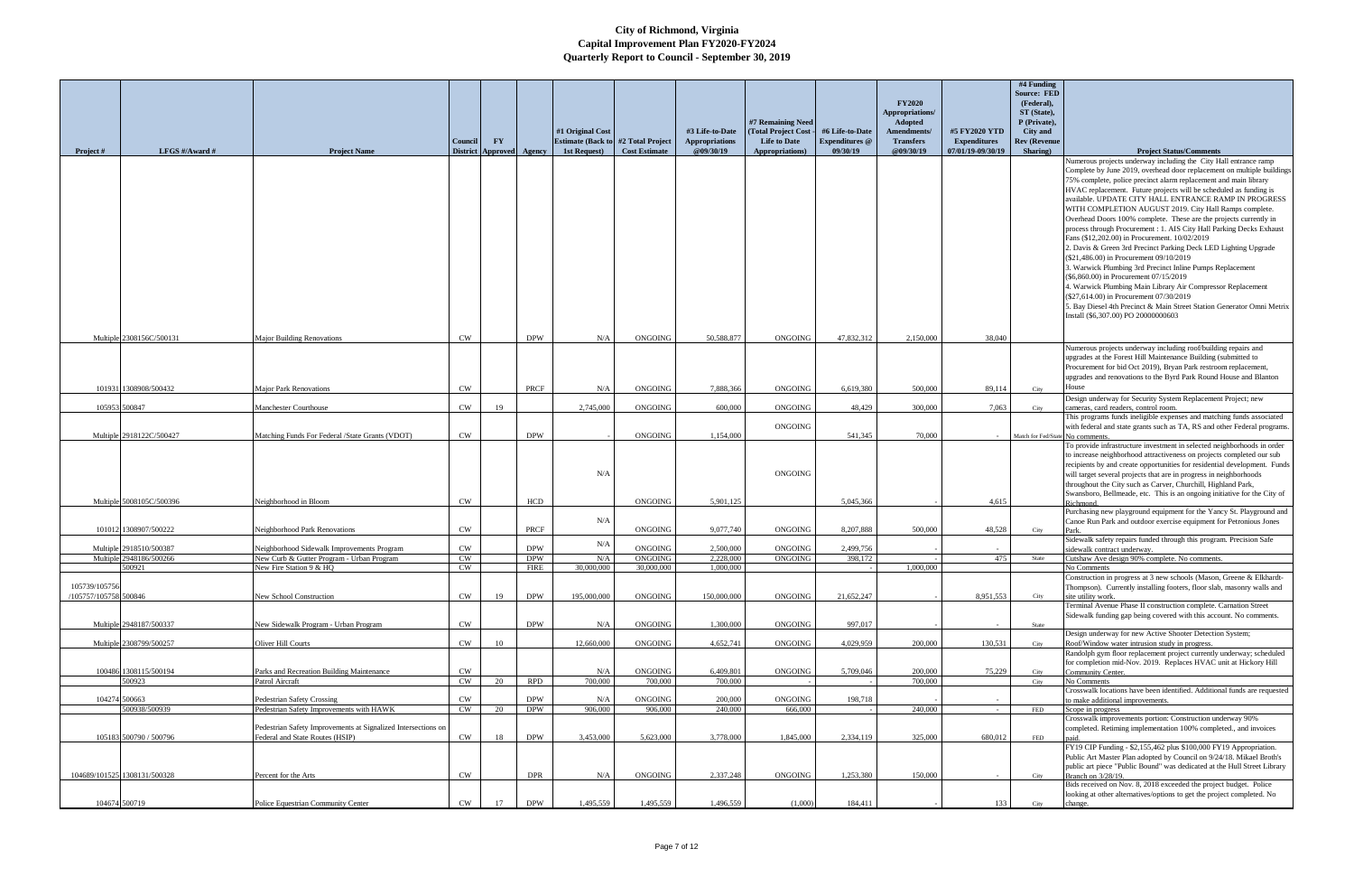|                       |                                                    |                                                                                         |                            |                        |                 |                                                           |                           |                                    |                     |                                   |                               |                                          | #4 Funding                      |                                                                                                                                  |
|-----------------------|----------------------------------------------------|-----------------------------------------------------------------------------------------|----------------------------|------------------------|-----------------|-----------------------------------------------------------|---------------------------|------------------------------------|---------------------|-----------------------------------|-------------------------------|------------------------------------------|---------------------------------|----------------------------------------------------------------------------------------------------------------------------------|
|                       |                                                    |                                                                                         |                            |                        |                 |                                                           |                           |                                    |                     |                                   |                               |                                          | <b>Source: FED</b>              |                                                                                                                                  |
|                       |                                                    |                                                                                         |                            |                        |                 |                                                           |                           |                                    |                     |                                   | <b>FY2020</b>                 |                                          | (Federal),                      |                                                                                                                                  |
|                       |                                                    |                                                                                         |                            |                        |                 |                                                           |                           |                                    |                     |                                   | Appropriations/               |                                          | ST (State),                     |                                                                                                                                  |
|                       |                                                    |                                                                                         |                            |                        |                 |                                                           |                           |                                    | #7 Remaining Need   |                                   | <b>Adopted</b>                |                                          | P (Private),                    |                                                                                                                                  |
|                       |                                                    |                                                                                         |                            |                        |                 | #1 Original Cost                                          |                           | #3 Life-to-Date                    | (Total Project Cost | #6 Life-to-Date                   | Amendments/                   | #5 FY2020 YTD                            | <b>City</b> and                 |                                                                                                                                  |
|                       | LFGS #/Award #                                     |                                                                                         | Council<br><b>District</b> | $\mathbf{F}\mathbf{Y}$ |                 | <b>Estimate (Back to #2 Total Project</b><br>1st Request) | <b>Cost Estimate</b>      | <b>Appropriations</b><br>@09/30/19 | <b>Life to Date</b> | <b>Expenditures</b> @<br>09/30/19 | <b>Transfers</b><br>@09/30/19 | <b>Expenditures</b><br>07/01/19-09/30/19 | <b>Rev (Revenue</b><br>Sharing) |                                                                                                                                  |
| <b>Project</b> #      |                                                    | <b>Project Name</b>                                                                     |                            |                        | Approved Agency |                                                           |                           |                                    | Appropriations)     |                                   |                               |                                          |                                 | <b>Project Status/Comments</b><br>Numerous projects underway including the City Hall entrance ramp                               |
|                       |                                                    |                                                                                         |                            |                        |                 |                                                           |                           |                                    |                     |                                   |                               |                                          |                                 | Complete by June 2019, overhead door replacement on multiple buildings                                                           |
|                       |                                                    |                                                                                         |                            |                        |                 |                                                           |                           |                                    |                     |                                   |                               |                                          |                                 | 75% complete, police precinct alarm replacement and main library                                                                 |
|                       |                                                    |                                                                                         |                            |                        |                 |                                                           |                           |                                    |                     |                                   |                               |                                          |                                 | HVAC replacement. Future projects will be scheduled as funding is                                                                |
|                       |                                                    |                                                                                         |                            |                        |                 |                                                           |                           |                                    |                     |                                   |                               |                                          |                                 | available. UPDATE CITY HALL ENTRANCE RAMP IN PROGRESS                                                                            |
|                       |                                                    |                                                                                         |                            |                        |                 |                                                           |                           |                                    |                     |                                   |                               |                                          |                                 | WITH COMPLETION AUGUST 2019. City Hall Ramps complete.                                                                           |
|                       |                                                    |                                                                                         |                            |                        |                 |                                                           |                           |                                    |                     |                                   |                               |                                          |                                 | Overhead Doors 100% complete. These are the projects currently in                                                                |
|                       |                                                    |                                                                                         |                            |                        |                 |                                                           |                           |                                    |                     |                                   |                               |                                          |                                 | process through Procurement : 1. AIS City Hall Parking Decks Exhaust                                                             |
|                       |                                                    |                                                                                         |                            |                        |                 |                                                           |                           |                                    |                     |                                   |                               |                                          |                                 | Fans (\$12,202.00) in Procurement. 10/02/2019                                                                                    |
|                       |                                                    |                                                                                         |                            |                        |                 |                                                           |                           |                                    |                     |                                   |                               |                                          |                                 | 2. Davis & Green 3rd Precinct Parking Deck LED Lighting Upgrade                                                                  |
|                       |                                                    |                                                                                         |                            |                        |                 |                                                           |                           |                                    |                     |                                   |                               |                                          |                                 | (\$21,486.00) in Procurement 09/10/2019                                                                                          |
|                       |                                                    |                                                                                         |                            |                        |                 |                                                           |                           |                                    |                     |                                   |                               |                                          |                                 | 3. Warwick Plumbing 3rd Precinct Inline Pumps Replacement                                                                        |
|                       |                                                    |                                                                                         |                            |                        |                 |                                                           |                           |                                    |                     |                                   |                               |                                          |                                 | (\$6,860.00) in Procurement 07/15/2019                                                                                           |
|                       |                                                    |                                                                                         |                            |                        |                 |                                                           |                           |                                    |                     |                                   |                               |                                          |                                 | 4. Warwick Plumbing Main Library Air Compressor Replacement                                                                      |
|                       |                                                    |                                                                                         |                            |                        |                 |                                                           |                           |                                    |                     |                                   |                               |                                          |                                 | (\$27,614.00) in Procurement 07/30/2019                                                                                          |
|                       |                                                    |                                                                                         |                            |                        |                 |                                                           |                           |                                    |                     |                                   |                               |                                          |                                 | 5. Bay Diesel 4th Precinct & Main Street Station Generator Omni Metrix                                                           |
|                       |                                                    |                                                                                         |                            |                        |                 |                                                           |                           |                                    |                     |                                   |                               |                                          |                                 | Install (\$6,307.00) PO 20000000603                                                                                              |
|                       |                                                    |                                                                                         |                            |                        |                 |                                                           |                           |                                    |                     |                                   |                               |                                          |                                 |                                                                                                                                  |
|                       | Multiple 2308156C/500131                           | <b>Major Building Renovations</b>                                                       | <b>CW</b>                  |                        | <b>DPW</b>      | N/A                                                       | ONGOING                   | 50,588,877                         | ONGOING             | 47,832,312                        | 2,150,000                     | 38,040                                   |                                 |                                                                                                                                  |
|                       |                                                    |                                                                                         |                            |                        |                 |                                                           |                           |                                    |                     |                                   |                               |                                          |                                 | Numerous projects underway including roof/building repairs and<br>upgrades at the Forest Hill Maintenance Building (submitted to |
|                       |                                                    |                                                                                         |                            |                        |                 |                                                           |                           |                                    |                     |                                   |                               |                                          |                                 | Procurement for bid Oct 2019), Bryan Park restroom replacement,                                                                  |
|                       |                                                    |                                                                                         |                            |                        |                 |                                                           |                           |                                    |                     |                                   |                               |                                          |                                 | upgrades and renovations to the Byrd Park Round House and Blanton                                                                |
|                       | 101931 1308908/500432                              | <b>Major Park Renovations</b>                                                           | <b>CW</b>                  |                        | PRCF            | N/A                                                       | <b>ONGOING</b>            | 7,888,366                          | ONGOING             | 6,619,380                         | 500,000                       | 89,114                                   | City                            | House                                                                                                                            |
|                       |                                                    |                                                                                         |                            |                        |                 |                                                           |                           |                                    |                     |                                   |                               |                                          |                                 | Design underway for Security System Replacement Project; new                                                                     |
|                       | 105953 500847                                      | Manchester Courthouse                                                                   | <b>CW</b>                  | 19                     |                 | 2,745,000                                                 | <b>ONGOING</b>            | 600,000                            | <b>ONGOING</b>      | 48,429                            | 300,000                       | 7,063                                    | City                            | cameras, card readers, control room.                                                                                             |
|                       |                                                    |                                                                                         |                            |                        |                 |                                                           |                           |                                    |                     |                                   |                               |                                          |                                 | This programs funds ineligible expenses and matching funds associated                                                            |
|                       | Multiple 2918122C/500427                           | Matching Funds For Federal /State Grants (VDOT)                                         | <b>CW</b>                  |                        | <b>DPW</b>      |                                                           | ONGOING                   | 1,154,000                          | ONGOING             | 541,345                           | 70,000                        | $\sim$                                   | Match for Fed/State No comments | with federal and state grants such as TA, RS and other Federal programs                                                          |
|                       |                                                    |                                                                                         |                            |                        |                 |                                                           |                           |                                    |                     |                                   |                               |                                          |                                 | To provide infrastructure investment in selected neighborhoods in order                                                          |
|                       |                                                    |                                                                                         |                            |                        |                 |                                                           |                           |                                    |                     |                                   |                               |                                          |                                 | to increase neighborhood attractiveness on projects completed our sub                                                            |
|                       |                                                    |                                                                                         |                            |                        |                 |                                                           |                           |                                    |                     |                                   |                               |                                          |                                 | recipients by and create opportunities for residential development. Funds                                                        |
|                       |                                                    |                                                                                         |                            |                        |                 | N/A                                                       |                           |                                    | ONGOING             |                                   |                               |                                          |                                 | will target several projects that are in progress in neighborhoods                                                               |
|                       |                                                    |                                                                                         |                            |                        |                 |                                                           |                           |                                    |                     |                                   |                               |                                          |                                 | throughout the City such as Carver, Churchill, Highland Park,                                                                    |
|                       | Multiple 5008105C/500396                           | Neighborhood in Bloom                                                                   | <b>CW</b>                  |                        | HCD             |                                                           | <b>ONGOING</b>            | 5,901,125                          |                     | 5,045,366                         |                               | 4,615                                    |                                 | Swansboro, Bellmeade, etc. This is an ongoing initiative for the City of                                                         |
|                       |                                                    |                                                                                         |                            |                        |                 |                                                           |                           |                                    |                     |                                   |                               |                                          |                                 | Richmond<br>Purchasing new playground equipment for the Yancy St. Playground and                                                 |
|                       |                                                    |                                                                                         |                            |                        |                 | N/A                                                       |                           |                                    |                     |                                   |                               |                                          |                                 | Canoe Run Park and outdoor exercise equipment for Petronious Jones                                                               |
|                       | 101012 1308907/500222                              | Neighborhood Park Renovations                                                           | <b>CW</b>                  |                        | PRCF            |                                                           | <b>ONGOING</b>            | 9,077,740                          | <b>ONGOING</b>      | 8,207,888                         | 500,000                       | 48,528                                   | City                            | Park.                                                                                                                            |
|                       |                                                    |                                                                                         |                            |                        | <b>DPW</b>      | N/A                                                       | ONGOING                   | 2.500,000                          | <b>ONGOING</b>      | 2,499,756                         |                               |                                          |                                 | Sidewalk safety repairs funded through this program. Precision Safe                                                              |
|                       | Multiple 2918510/500387<br>Multiple 2948186/500266 | Neighborhood Sidewalk Improvements Program<br>New Curb & Gutter Program - Urban Program | <b>CW</b><br><b>CW</b>     |                        | <b>DPW</b>      | N/A                                                       | <b>ONGOING</b>            | 2,228,000                          | ONGOING             | 398,172                           |                               | 475                                      | State                           | sidewalk contract underway<br>Cutshaw Ave design 90% complete. No comments.                                                      |
|                       | 500921                                             | New Fire Station 9 & HO                                                                 | <b>CW</b>                  |                        | <b>FIRE</b>     | 30,000,000                                                | 30,000,000                | 1,000,000                          |                     |                                   | 1,000,000                     |                                          |                                 | No Comments                                                                                                                      |
|                       |                                                    |                                                                                         |                            |                        |                 |                                                           |                           |                                    |                     |                                   |                               |                                          |                                 | Construction in progress at 3 new schools (Mason, Greene & Elkhardt-                                                             |
| 105739/105756         |                                                    |                                                                                         |                            |                        |                 |                                                           |                           |                                    |                     |                                   |                               |                                          |                                 | Thompson). Currently installing footers, floor slab, masonry walls and                                                           |
| /105757/105758 500846 |                                                    | New School Construction                                                                 | <b>CW</b>                  | 19                     | <b>DPW</b>      | 195,000,000                                               | <b>ONGOING</b>            | 150,000,000                        | ONGOING             | 21,652,247                        |                               | 8,951,553                                | City                            | site utility work.                                                                                                               |
|                       |                                                    |                                                                                         |                            |                        |                 |                                                           |                           |                                    |                     |                                   |                               |                                          |                                 | Terminal Avenue Phase II construction complete. Carnation Street                                                                 |
|                       | Multiple 2948187/500337                            | New Sidewalk Program - Urban Program                                                    | CW                         |                        | <b>DPW</b>      | N/A                                                       | ONGOING                   | 1,300,000                          | <b>ONGOING</b>      | 997,017                           |                               |                                          | State                           | Sidewalk funding gap being covered with this account. No comments.                                                               |
|                       |                                                    |                                                                                         |                            |                        |                 |                                                           |                           |                                    |                     |                                   |                               |                                          |                                 | Design underway for new Active Shooter Detection System;                                                                         |
|                       | Multiple 2308799/500257                            | Oliver Hill Courts                                                                      | <b>CW</b>                  | 10                     |                 | 12,660,000                                                | <b>ONGOING</b>            | 4,652,741                          | ONGOING             | 4,029,959                         | 200,000                       | 130,531                                  | City                            | Roof/Window water intrusion study in progress.                                                                                   |
|                       |                                                    |                                                                                         |                            |                        |                 |                                                           |                           |                                    |                     |                                   |                               |                                          |                                 | Randolph gym floor replacement project currently underway; scheduled                                                             |
|                       |                                                    |                                                                                         |                            |                        |                 |                                                           |                           |                                    |                     |                                   |                               |                                          |                                 | for completion mid-Nov. 2019. Replaces HVAC unit at Hickory Hill                                                                 |
|                       | 100486 1308115/500194<br>500923                    | Parks and Recreation Building Maintenance                                               | CW<br><b>CW</b>            | 20                     | <b>RPD</b>      | N/A<br>700,000                                            | <b>ONGOING</b><br>700,000 | 6.409.801<br>700,000               | <b>ONGOING</b>      | 5,709,046                         | 200,000<br>700,000            | 75,229                                   | City                            | Community Center.                                                                                                                |
|                       |                                                    | Patrol Aircraft                                                                         |                            |                        |                 |                                                           |                           |                                    |                     |                                   |                               |                                          | City                            | No Comments<br>Crosswalk locations have been identified. Additional funds are requested                                          |
| 104274 500663         |                                                    | <b>Pedestrian Safety Crossing</b>                                                       | CW                         |                        | <b>DPW</b>      | N/A                                                       | <b>ONGOING</b>            | 200,000                            | ONGOING             | 198,718                           |                               |                                          |                                 | to make additional improvements.                                                                                                 |
|                       | 500938/500939                                      | Pedestrian Safety Improvements with HAWK                                                | <b>CW</b>                  | 20                     | <b>DPW</b>      | 906,000                                                   | 906,000                   | 240,000                            | 666,000             |                                   | 240,000                       |                                          | FED                             | Scope in progress                                                                                                                |
|                       |                                                    |                                                                                         |                            |                        |                 |                                                           |                           |                                    |                     |                                   |                               |                                          |                                 | Crosswalk improvements portion: Construction underway 90%                                                                        |
|                       |                                                    | Pedestrian Safety Improvements at Signalized Intersections on                           |                            |                        |                 |                                                           |                           |                                    |                     |                                   |                               |                                          |                                 | completed. Retiming implementation 100% completed., and invoices                                                                 |
|                       | 105183 500790 / 500796                             | Federal and State Routes (HSIP)                                                         | CW                         | 18                     | <b>DPW</b>      | 3.453,000                                                 | 5.623,000                 | 3,778,000                          | 1,845,000           | 2,334,119                         | 325,000                       | 680,012                                  | FED                             | FY19 CIP Funding - \$2,155,462 plus \$100,000 FY19 Appropriation.                                                                |
|                       |                                                    |                                                                                         |                            |                        |                 |                                                           |                           |                                    |                     |                                   |                               |                                          |                                 | Public Art Master Plan adopted by Council on 9/24/18. Mikael Broth's                                                             |
|                       |                                                    |                                                                                         |                            |                        |                 |                                                           |                           |                                    |                     |                                   |                               |                                          |                                 | public art piece "Public Bound" was dedicated at the Hull Street Library                                                         |
|                       | 104689/101525 1308131/500328                       | Percent for the Arts                                                                    | <b>CW</b>                  |                        | <b>DPR</b>      | N/A                                                       | ONGOING                   | 2,337,248                          | ONGOING             | 1,253,380                         | 150,000                       | $\sim$                                   | City                            | Branch on 3/28/19.                                                                                                               |
|                       |                                                    |                                                                                         |                            |                        |                 |                                                           |                           |                                    |                     |                                   |                               |                                          |                                 | Bids received on Nov. 8, 2018 exceeded the project budget. Police                                                                |
|                       | 104674 500719                                      | Police Equestrian Community Center                                                      | CW                         | 17                     | <b>DPW</b>      | 1,495,559                                                 | 1,495,559                 | 1,496,559                          | (1,000)             | 184,411                           |                               | 133                                      |                                 | looking at other alternatives/options to get the project completed. No<br>change.                                                |
|                       |                                                    |                                                                                         |                            |                        |                 |                                                           |                           |                                    |                     |                                   |                               |                                          | City                            |                                                                                                                                  |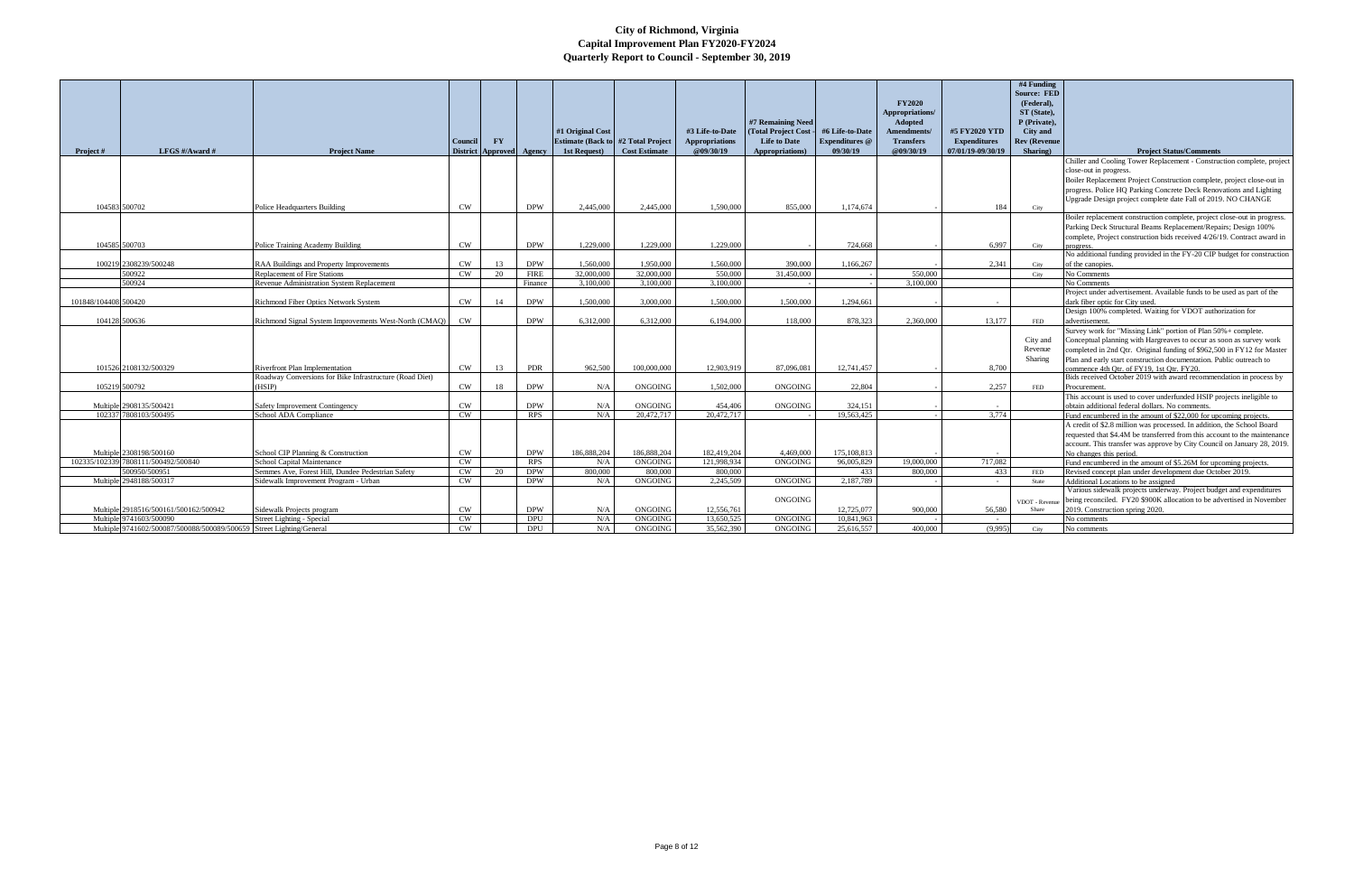|                      |                                                                      |                                                                                           |                 |                 |             |                                            |                      |                       |                      |                       |                                      |                     | #4 Funding                      |                                                                                                                 |
|----------------------|----------------------------------------------------------------------|-------------------------------------------------------------------------------------------|-----------------|-----------------|-------------|--------------------------------------------|----------------------|-----------------------|----------------------|-----------------------|--------------------------------------|---------------------|---------------------------------|-----------------------------------------------------------------------------------------------------------------|
|                      |                                                                      |                                                                                           |                 |                 |             |                                            |                      |                       |                      |                       |                                      |                     | <b>Source: FED</b>              |                                                                                                                 |
|                      |                                                                      |                                                                                           |                 |                 |             |                                            |                      |                       |                      |                       | <b>FY2020</b>                        |                     | (Federal),                      |                                                                                                                 |
|                      |                                                                      |                                                                                           |                 |                 |             |                                            |                      |                       | #7 Remaining Need    |                       | Appropriations/                      |                     | ST (State).                     |                                                                                                                 |
|                      |                                                                      |                                                                                           |                 |                 |             | #1 Original Cost                           |                      | #3 Life-to-Date       | (Total Project Cost- | #6 Life-to-Date       | <b>Adopted</b><br><b>Amendments/</b> | #5 FY2020 YTD       | P (Private).<br><b>City and</b> |                                                                                                                 |
|                      |                                                                      |                                                                                           | Council         | <b>FY</b>       |             | <b>Estimate (Back to #2 Total Project)</b> |                      | <b>Appropriations</b> | <b>Life to Date</b>  | <b>Expenditures</b> @ | <b>Transfers</b>                     | <b>Expenditures</b> | <b>Rev (Revenue</b>             |                                                                                                                 |
| Project #            | LFGS $\#/$ Award $\#$                                                | <b>Project Name</b>                                                                       | <b>District</b> | <b>Approved</b> | Agency      | 1st Request)                               | <b>Cost Estimate</b> | @09/30/19             | Appropriations)      | 09/30/19              | @09/30/19                            | 07/01/19-09/30/19   | Sharing)                        | <b>Project Status/Comments</b>                                                                                  |
|                      |                                                                      |                                                                                           |                 |                 |             |                                            |                      |                       |                      |                       |                                      |                     |                                 | Chiller and Cooling Tower Replacement - Construction complete, project                                          |
|                      |                                                                      |                                                                                           |                 |                 |             |                                            |                      |                       |                      |                       |                                      |                     |                                 | close-out in progress.                                                                                          |
|                      |                                                                      |                                                                                           |                 |                 |             |                                            |                      |                       |                      |                       |                                      |                     |                                 | Boiler Replacement Project Construction complete, project close-out in                                          |
|                      |                                                                      |                                                                                           |                 |                 |             |                                            |                      |                       |                      |                       |                                      |                     |                                 | progress. Police HQ Parking Concrete Deck Renovations and Lighting                                              |
|                      |                                                                      |                                                                                           |                 |                 |             |                                            |                      |                       |                      |                       |                                      |                     |                                 | Upgrade Design project complete date Fall of 2019. NO CHANGE                                                    |
|                      | 104583 500702                                                        | <b>Police Headquarters Building</b>                                                       | <b>CW</b>       |                 | <b>DPW</b>  | 2,445,000                                  | 2,445,000            | 1,590,000             | 855,000              | 1.174.674             |                                      | 184                 | City                            |                                                                                                                 |
|                      |                                                                      |                                                                                           |                 |                 |             |                                            |                      |                       |                      |                       |                                      |                     |                                 | Boiler replacement construction complete, project close-out in progress.                                        |
|                      |                                                                      |                                                                                           |                 |                 |             |                                            |                      |                       |                      |                       |                                      |                     |                                 | Parking Deck Structural Beams Replacement/Repairs; Design 100%                                                  |
|                      |                                                                      |                                                                                           |                 |                 |             |                                            |                      |                       |                      |                       |                                      |                     |                                 | complete, Project construction bids received 4/26/19. Contract award in                                         |
|                      | 104585 500703                                                        | Police Training Academy Building                                                          | <b>CW</b>       |                 | <b>DPW</b>  | 1,229,000                                  | 1,229,000            | 1,229,000             |                      | 724,668               |                                      | 6,997               | City                            |                                                                                                                 |
|                      |                                                                      |                                                                                           |                 |                 |             |                                            |                      |                       |                      |                       |                                      |                     |                                 | No additional funding provided in the FY-20 CIP budget for construction                                         |
|                      | 100219 2308239/500248                                                | RAA Buildings and Property Improvements                                                   | <b>CW</b>       | 13              | <b>DPW</b>  | 1.560,000                                  | 1.950,000            | 1,560,000             | 390,000              | 1.166.267             |                                      | 2,341               | City                            | of the canopies.                                                                                                |
|                      | 500922                                                               | <b>Replacement of Fire Stations</b>                                                       | <b>CW</b>       | 20              | <b>FIRE</b> | 32,000,000                                 | 32,000,000           | 550,000               | 31,450,000           |                       | 550,000                              |                     | City                            | No Comments                                                                                                     |
|                      | 500924                                                               | Revenue Administration System Replacement                                                 |                 |                 | Finance     | 3,100,000                                  | 3.100,000            | 3.100,000             |                      |                       | 3,100,000                            |                     |                                 | No Comments                                                                                                     |
|                      |                                                                      |                                                                                           |                 |                 |             |                                            |                      |                       |                      |                       |                                      |                     |                                 | Project under advertisement. Available funds to be used as part of the                                          |
| 101848/104408 500420 |                                                                      | Richmond Fiber Optics Network System                                                      | <b>CW</b>       | 14              | <b>DPW</b>  | 1,500,000                                  | 3,000,000            | 1,500,000             | 1.500,000            | 1,294,661             |                                      |                     |                                 | dark fiber optic for City used.                                                                                 |
|                      |                                                                      |                                                                                           |                 |                 |             |                                            |                      |                       |                      |                       |                                      |                     |                                 | Design 100% completed. Waiting for VDOT authorization for                                                       |
|                      | 104128 500636                                                        | Richmond Signal System Improvements West-North (CMAQ)                                     | <b>CW</b>       |                 | <b>DPW</b>  | 6,312,000                                  | 6.312,000            | 6.194.000             | 118.000              | 878.323               | 2.360.000                            | 13.177              | <b>FED</b>                      | advertisement.                                                                                                  |
|                      |                                                                      |                                                                                           |                 |                 |             |                                            |                      |                       |                      |                       |                                      |                     |                                 | Survey work for "Missing Link" portion of Plan 50%+ complete.                                                   |
|                      |                                                                      |                                                                                           |                 |                 |             |                                            |                      |                       |                      |                       |                                      |                     | City and                        | Conceptual planning with Hargreaves to occur as soon as survey work                                             |
|                      |                                                                      |                                                                                           |                 |                 |             |                                            |                      |                       |                      |                       |                                      |                     | Revenue                         | completed in 2nd Qtr. Original funding of \$962,500 in FY12 for Master                                          |
|                      | 101526 2108132/500329                                                |                                                                                           | CW              |                 | <b>PDR</b>  | 962.500                                    | 100.000.000          | 12,903,919            | 87,096,081           | 12.741.457            |                                      |                     | Sharing                         | Plan and early start construction documentation. Public outreach to                                             |
|                      |                                                                      | Riverfront Plan Implementation<br>Roadway Conversions for Bike Infrastructure (Road Diet) |                 | 13              |             |                                            |                      |                       |                      |                       |                                      | 8,700               |                                 | commence 4th Otr. of FY19. 1st Otr. FY20.<br>Bids received October 2019 with award recommendation in process by |
|                      | 105219 500792                                                        | (HSIP)                                                                                    | <b>CW</b>       | 18              | <b>DPW</b>  | N/A                                        | ONGOING              | 1.502.000             | <b>ONGOING</b>       | 22.804                |                                      | 2.257               | FED                             | Procurement                                                                                                     |
|                      |                                                                      |                                                                                           |                 |                 |             |                                            |                      |                       |                      |                       |                                      |                     |                                 | This account is used to cover underfunded HSIP projects ineligible to                                           |
|                      | Multiple 2908135/500421                                              | Safety Improvement Contingency                                                            | CW              |                 | <b>DPW</b>  | N/A                                        | <b>ONGOING</b>       | 454,406               | ONGOING              | 324,151               |                                      |                     |                                 | obtain additional federal dollars. No comments.                                                                 |
|                      | 102337 7808103/500495                                                | School ADA Compliance                                                                     | CW              |                 | <b>RPS</b>  | N/A                                        | 20,472,717           | 20,472,717            |                      | 19,563,425            |                                      | 3.774               |                                 | Fund encumbered in the amount of \$22,000 for upcoming projects.                                                |
|                      |                                                                      |                                                                                           |                 |                 |             |                                            |                      |                       |                      |                       |                                      |                     |                                 | A credit of \$2.8 million was processed. In addition, the School Board                                          |
|                      |                                                                      |                                                                                           |                 |                 |             |                                            |                      |                       |                      |                       |                                      |                     |                                 | requested that \$4.4M be transferred from this account to the maintenance                                       |
|                      |                                                                      |                                                                                           |                 |                 |             |                                            |                      |                       |                      |                       |                                      |                     |                                 | account. This transfer was approve by City Council on January 28, 2019.                                         |
|                      | Multiple 2308198/500160                                              | School CIP Planning & Construction                                                        | CW              |                 | <b>DPW</b>  | 186,888,204                                | 186,888,204          | 182,419,204           | 4,469,000            | 175, 108, 813         |                                      |                     |                                 | No changes this period.                                                                                         |
|                      | 102335/102339 7808111/500492/500840                                  | School Capital Maintenance                                                                | CW              |                 | <b>RPS</b>  | N/A                                        | <b>ONGOING</b>       | 121,998,934           | <b>ONGOING</b>       | 96.005.829            | 19.000.000                           | 717,082             |                                 | Fund encumbered in the amount of \$5.26M for upcoming projects.                                                 |
|                      | 500950/500951                                                        | Semmes Ave, Forest Hill, Dundee Pedestrian Safety                                         | <b>CW</b>       | 20              | <b>DPW</b>  | 800.000                                    | 800,000              | 800,000               |                      | 433                   | 800,000                              | 433                 | <b>FED</b>                      | Revised concept plan under development due October 2019.                                                        |
|                      | Multiple 2948188/500317                                              | Sidewalk Improvement Program - Urban                                                      | <b>CW</b>       |                 | <b>DPW</b>  | N/A                                        | ONGOING              | 2,245,509             | ONGOING              | 2.187.789             |                                      | $\sim$              | State                           | Additional Locations to be assigned                                                                             |
|                      |                                                                      |                                                                                           |                 |                 |             |                                            |                      |                       |                      |                       |                                      |                     |                                 | Various sidewalk projects underway. Project budget and expenditures                                             |
|                      |                                                                      |                                                                                           |                 |                 |             |                                            |                      |                       | ONGOING              |                       |                                      |                     | VDOT - Reven                    | being reconciled. FY20 \$900K allocation to be advertised in November                                           |
|                      | Multiple 2918516/500161/500162/500942                                | Sidewalk Projects program                                                                 | <b>CW</b>       |                 | <b>DPW</b>  | N/A                                        | <b>ONGOING</b>       | 12,556,761            |                      | 12,725,077            | 900.000                              | 56,580              | Share                           | 2019. Construction spring 2020.                                                                                 |
|                      | Multiple 9741603/500090                                              | Street Lighting - Special                                                                 | <b>CW</b>       |                 | <b>DPU</b>  | N/A                                        | ONGOING              | 13.650.525            | <b>ONGOING</b>       | 10.841.963            |                                      |                     |                                 | No comments                                                                                                     |
|                      | Multiple 9741602/500087/500088/500089/500659 Street Lighting/General |                                                                                           | CW.             |                 | <b>DPU</b>  | N/A                                        | ONGOING              | 35.562.390            | <b>ONGOING</b>       | 25.616.557            | 400.000                              | (9.995)             | City                            | No comments                                                                                                     |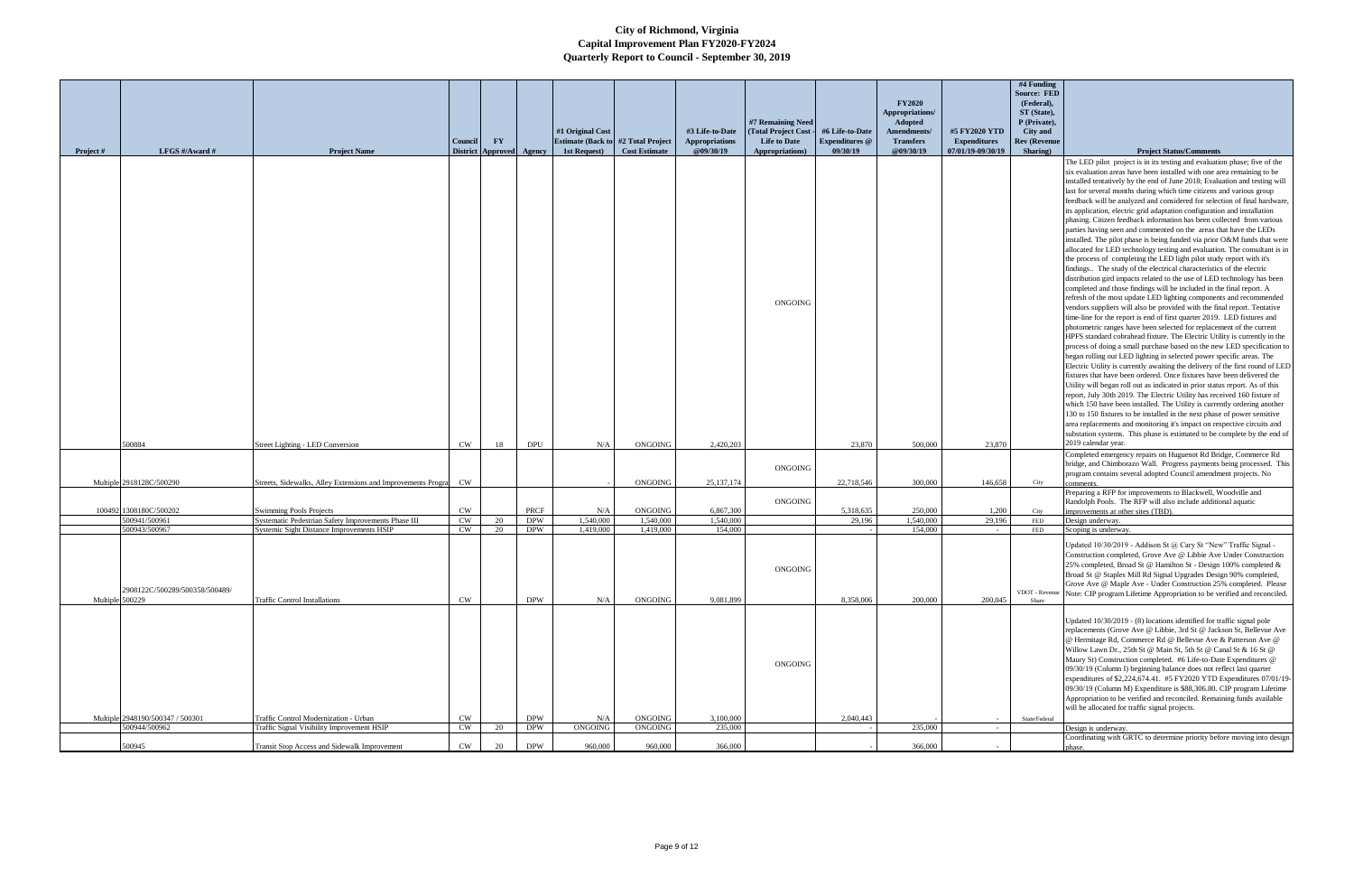|                 |                                  |                                                                                                  |                 |                        |                          | #1 Original Cost                           |                        | #3 Life-to-Date       | #7 Remaining Need<br>(Total Project Cost | #6 Life-to-Date       | <b>FY2020</b><br>Appropriations/<br>Adopted<br>Amendments/ | #5 FY2020 YTD       | #4 Funding<br>Source: FED<br>(Federal),<br>ST (State),<br>P (Private),<br><b>City</b> and |                                                                                                                                                       |
|-----------------|----------------------------------|--------------------------------------------------------------------------------------------------|-----------------|------------------------|--------------------------|--------------------------------------------|------------------------|-----------------------|------------------------------------------|-----------------------|------------------------------------------------------------|---------------------|-------------------------------------------------------------------------------------------|-------------------------------------------------------------------------------------------------------------------------------------------------------|
|                 |                                  |                                                                                                  | Council         | $\mathbf{F}\mathbf{Y}$ |                          | <b>Estimate (Back to #2 Total Project)</b> |                        | <b>Appropriations</b> | <b>Life to Date</b>                      | <b>Expenditures</b> @ | <b>Transfers</b>                                           | <b>Expenditures</b> | <b>Rev (Revenue</b>                                                                       |                                                                                                                                                       |
| Project #       | LFGS #/Award #                   | <b>Project Name</b>                                                                              | <b>District</b> | Approved Agency        |                          | 1st Request)                               | <b>Cost Estimate</b>   | @09/30/19             | Appropriations)                          | 09/30/19              | @09/30/19                                                  | 07/01/19-09/30/19   | Sharing)                                                                                  | <b>Project Status/Comments</b><br>The LED pilot project is in its testing and evaluation phase; five of the                                           |
|                 |                                  |                                                                                                  |                 |                        |                          |                                            |                        |                       |                                          |                       |                                                            |                     |                                                                                           | six evaluation areas have been installed with one area remaining to be                                                                                |
|                 |                                  |                                                                                                  |                 |                        |                          |                                            |                        |                       |                                          |                       |                                                            |                     |                                                                                           | installed tentatively by the end of June 2018; Evaluation and testing will                                                                            |
|                 |                                  |                                                                                                  |                 |                        |                          |                                            |                        |                       |                                          |                       |                                                            |                     |                                                                                           | last for several months during which time citizens and various group<br>feedback will be analyzed and considered for selection of final hardware,     |
|                 |                                  |                                                                                                  |                 |                        |                          |                                            |                        |                       |                                          |                       |                                                            |                     |                                                                                           | its application, electric grid adaptation configuration and installation                                                                              |
|                 |                                  |                                                                                                  |                 |                        |                          |                                            |                        |                       |                                          |                       |                                                            |                     |                                                                                           | phasing. Citizen feedback information has been collected from various<br>parties having seen and commented on the areas that have the LEDs            |
|                 |                                  |                                                                                                  |                 |                        |                          |                                            |                        |                       |                                          |                       |                                                            |                     |                                                                                           | installed. The pilot phase is being funded via prior O&M funds that were                                                                              |
|                 |                                  |                                                                                                  |                 |                        |                          |                                            |                        |                       |                                          |                       |                                                            |                     |                                                                                           | allocated for LED technology testing and evaluation. The consultant is in                                                                             |
|                 |                                  |                                                                                                  |                 |                        |                          |                                            |                        |                       |                                          |                       |                                                            |                     |                                                                                           | the process of completing the LED light pilot study report with it's<br>findings The study of the electrical characteristics of the electric          |
|                 |                                  |                                                                                                  |                 |                        |                          |                                            |                        |                       |                                          |                       |                                                            |                     |                                                                                           | distribution gird impacts related to the use of LED technology has been                                                                               |
|                 |                                  |                                                                                                  |                 |                        |                          |                                            |                        |                       |                                          |                       |                                                            |                     |                                                                                           | completed and those findings will be included in the final report. A                                                                                  |
|                 |                                  |                                                                                                  |                 |                        |                          |                                            |                        |                       | ONGOING                                  |                       |                                                            |                     |                                                                                           | refresh of the most update LED lighting components and recommended<br>vendors suppliers will also be provided with the final report. Tentative        |
|                 |                                  |                                                                                                  |                 |                        |                          |                                            |                        |                       |                                          |                       |                                                            |                     |                                                                                           | time-line for the report is end of first quarter 2019. LED fixtures and                                                                               |
|                 |                                  |                                                                                                  |                 |                        |                          |                                            |                        |                       |                                          |                       |                                                            |                     |                                                                                           | photometric ranges have been selected for replacement of the current<br>HPFS standard cobrahead fixture. The Electric Utility is currently in the     |
|                 |                                  |                                                                                                  |                 |                        |                          |                                            |                        |                       |                                          |                       |                                                            |                     |                                                                                           | process of doing a small purchase based on the new LED specification to                                                                               |
|                 |                                  |                                                                                                  |                 |                        |                          |                                            |                        |                       |                                          |                       |                                                            |                     |                                                                                           | began rolling out LED lighting in selected power specific areas. The<br>Electric Utility is currently awaiting the delivery of the first round of LED |
|                 |                                  |                                                                                                  |                 |                        |                          |                                            |                        |                       |                                          |                       |                                                            |                     |                                                                                           | fixtures that have been ordered. Once fixtures have been delivered the                                                                                |
|                 |                                  |                                                                                                  |                 |                        |                          |                                            |                        |                       |                                          |                       |                                                            |                     |                                                                                           | Utility will began roll out as indicated in prior status report. As of this                                                                           |
|                 |                                  |                                                                                                  |                 |                        |                          |                                            |                        |                       |                                          |                       |                                                            |                     |                                                                                           | report, July 30th 2019. The Electric Utility has received 160 fixture of<br>which 150 have been installed. The Utility is currently ordering another  |
|                 |                                  |                                                                                                  |                 |                        |                          |                                            |                        |                       |                                          |                       |                                                            |                     |                                                                                           | 130 to 150 fixtures to be installed in the next phase of power sensitive                                                                              |
|                 |                                  |                                                                                                  |                 |                        |                          |                                            |                        |                       |                                          |                       |                                                            |                     |                                                                                           | area replacements and monitoring it's impact on respective circuits and<br>substation systems. This phase is estimated to be complete by the end of   |
|                 | 500884                           | Street Lighting - LED Conversion                                                                 | <b>CW</b>       | 18                     | <b>DPU</b>               | N/A                                        | ONGOING                | 2,420,203             |                                          | 23,870                | 500,000                                                    | 23,870              |                                                                                           | 2019 calendar year.                                                                                                                                   |
|                 |                                  |                                                                                                  |                 |                        |                          |                                            |                        |                       |                                          |                       |                                                            |                     |                                                                                           | Completed emergency repairs on Huguenot Rd Bridge, Commerce Rd                                                                                        |
|                 |                                  |                                                                                                  |                 |                        |                          |                                            |                        |                       | ONGOING                                  |                       |                                                            |                     |                                                                                           | bridge, and Chimborazo Wall. Progress payments being processed. This<br>program contains several adopted Council amendment projects. No               |
|                 | Multiple 2918128C/500290         | Streets, Sidewalks, Alley Extensions and Improvements Progra CW                                  |                 |                        |                          |                                            | <b>ONGOING</b>         | 25, 137, 174          |                                          | 22,718,546            | 300,000                                                    | 146,658             | City                                                                                      |                                                                                                                                                       |
|                 |                                  |                                                                                                  |                 |                        |                          |                                            |                        |                       | ONGOING                                  |                       |                                                            |                     |                                                                                           | Preparing a RFP for improvements to Blackwell, Woodville and<br>Randolph Pools. The RFP will also include additional aquatic                          |
|                 | 100492 1308180C/500202           | <b>Swimming Pools Projects</b>                                                                   | CW              |                        | PRCF                     | N/A                                        | <b>ONGOING</b>         | 6,867,300             |                                          | 5,318,635             | 250,000                                                    | 1,200               | City                                                                                      | improvements at other sites (TBD).                                                                                                                    |
|                 | 500941/500961<br>500943/500967   | Systematic Pedestrian Safety Improvements Phase III<br>Systemic Sight Distance Improvements HSIP | <b>CW</b><br>CW | 20<br>20               | <b>DPW</b><br><b>DPW</b> | 1,540,000<br>1,419,000                     | 1,540,000<br>1,419,000 | 1,540,000<br>154,000  |                                          | 29,196                | 1,540,000<br>154,000                                       | 29,196              | <b>FED</b><br><b>FED</b>                                                                  | Design underway.<br>Scoping is underway.                                                                                                              |
|                 |                                  |                                                                                                  |                 |                        |                          |                                            |                        |                       |                                          |                       |                                                            |                     |                                                                                           | Updated 10/30/2019 - Addison St @ Cary St "New" Traffic Signal -                                                                                      |
|                 |                                  |                                                                                                  |                 |                        |                          |                                            |                        |                       |                                          |                       |                                                            |                     |                                                                                           | Construction completed, Grove Ave @ Libbie Ave Under Construction                                                                                     |
|                 |                                  |                                                                                                  |                 |                        |                          |                                            |                        |                       | ONGOING                                  |                       |                                                            |                     |                                                                                           | 25% completed, Broad St @ Hamilton St - Design 100% completed &                                                                                       |
|                 |                                  |                                                                                                  |                 |                        |                          |                                            |                        |                       |                                          |                       |                                                            |                     |                                                                                           | Broad St @ Staples Mill Rd Signal Upgrades Design 90% completed,<br>Grove Ave @ Maple Ave - Under Construction 25% completed. Please                  |
| Multiple 500229 | 2908122C/500289/500358/500489/   | <b>Traffic Control Installations</b>                                                             | CW              |                        | <b>DPW</b>               | N/A                                        | ONGOING                | 9.081.899             |                                          | 8,358,006             | 200,000                                                    | 200,045             | Share                                                                                     | VDOT - Revenue Note: CIP program Lifetime Appropriation to be verified and reconciled.                                                                |
|                 |                                  |                                                                                                  |                 |                        |                          |                                            |                        |                       |                                          |                       |                                                            |                     |                                                                                           |                                                                                                                                                       |
|                 |                                  |                                                                                                  |                 |                        |                          |                                            |                        |                       |                                          |                       |                                                            |                     |                                                                                           | Updated 10/30/2019 - (8) locations identified for traffic signal pole                                                                                 |
|                 |                                  |                                                                                                  |                 |                        |                          |                                            |                        |                       |                                          |                       |                                                            |                     |                                                                                           | replacements (Grove Ave @ Libbie, 3rd St @ Jackson St, Bellevue Ave<br>@ Hermitage Rd, Commerce Rd @ Bellevue Ave & Patterson Ave @                   |
|                 |                                  |                                                                                                  |                 |                        |                          |                                            |                        |                       |                                          |                       |                                                            |                     |                                                                                           | Willow Lawn Dr., 25th St @ Main St, 5th St @ Canal St & 16 St @                                                                                       |
|                 |                                  |                                                                                                  |                 |                        |                          |                                            |                        |                       | <b>ONGOING</b>                           |                       |                                                            |                     |                                                                                           | Maury St) Construction completed. #6 Life-to-Date Expenditures @                                                                                      |
|                 |                                  |                                                                                                  |                 |                        |                          |                                            |                        |                       |                                          |                       |                                                            |                     |                                                                                           | 09/30/19 (Column I) beginning balance does not reflect last quarter<br>expenditures of \$2,224,674.41. #5 FY2020 YTD Expenditures 07/01/19-           |
|                 |                                  |                                                                                                  |                 |                        |                          |                                            |                        |                       |                                          |                       |                                                            |                     |                                                                                           | 09/30/19 (Column M) Expenditure is \$88,306.80. CIP program Lifetime                                                                                  |
|                 |                                  |                                                                                                  |                 |                        |                          |                                            |                        |                       |                                          |                       |                                                            |                     |                                                                                           | Appropriation to be verified and reconciled. Remaining funds available<br>will be allocated for traffic signal projects.                              |
|                 | Multiple 2948190/500347 / 500301 | Traffic Control Modernization - Urban                                                            | CW              |                        | <b>DPW</b>               | N/A                                        | ONGOING                | 3,100,000             |                                          | 2,040,443             |                                                            |                     | State/Federal                                                                             |                                                                                                                                                       |
|                 | 500944/500962                    | Traffic Signal Visibility Improvement HSIP                                                       | <b>CW</b>       | 20                     | <b>DPW</b>               | ONGOING                                    | ONGOING                | 235,000               |                                          |                       | 235,000                                                    |                     |                                                                                           | Design is underway.<br>Coordinating with GRTC to determine priority before moving into design                                                         |
|                 | 500945                           | Transit Stop Access and Sidewalk Improvement                                                     | <b>CW</b>       | 20                     | <b>DPW</b>               | 960,000                                    | 960,000                | 366,000               |                                          |                       | 366,000                                                    |                     |                                                                                           | phase.                                                                                                                                                |
|                 |                                  |                                                                                                  |                 |                        |                          |                                            |                        |                       |                                          |                       |                                                            |                     |                                                                                           |                                                                                                                                                       |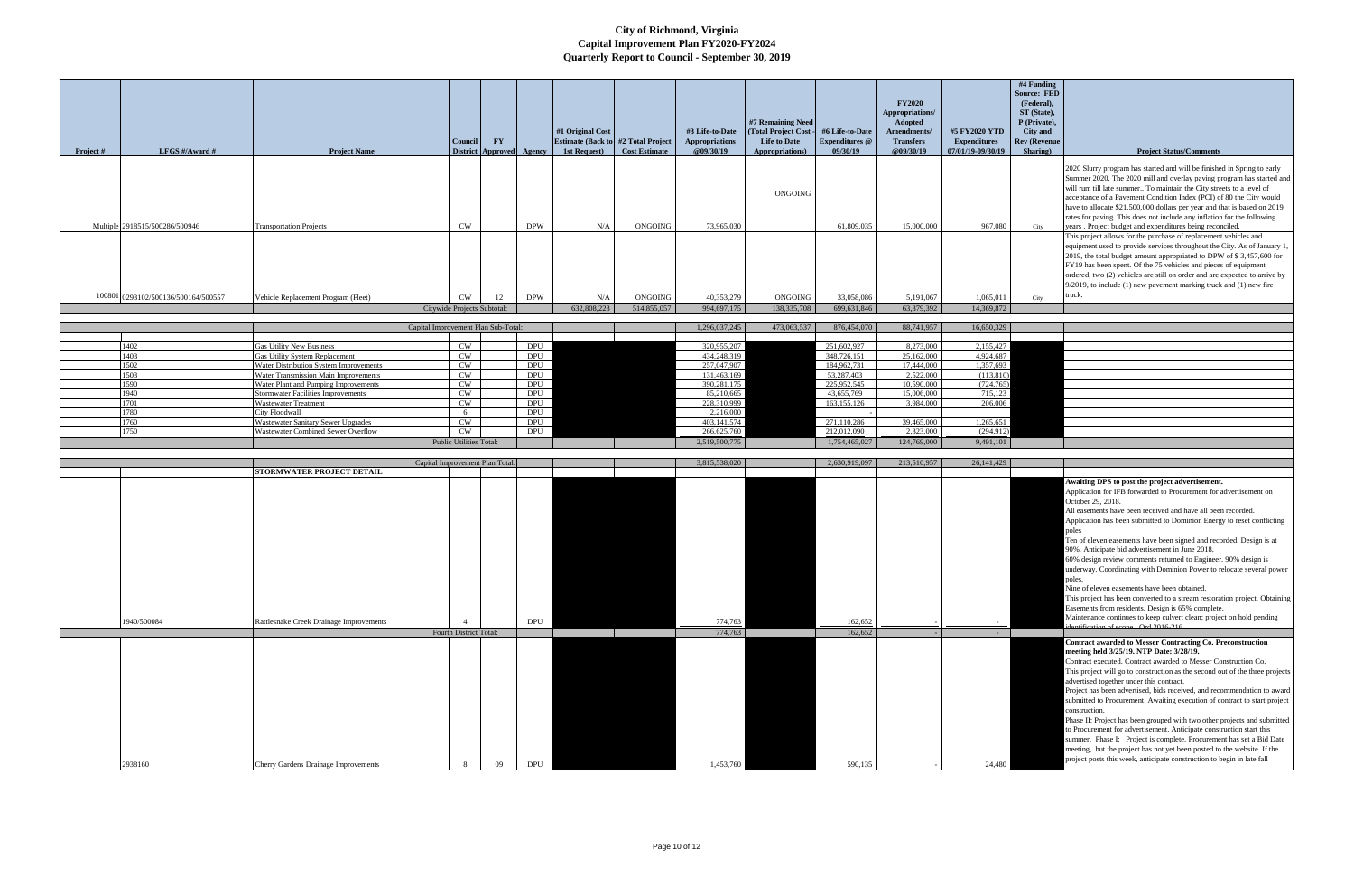|           |                                     |                                                                          |                                    |                                                    |                          | #1 Original Cost                                           |                        | #3 Life-to-Date                    | #7 Remaining Need<br>(Total Project Cost-      | #6 Life-to-Date                   | <b>FY2020</b><br>Appropriations/<br><b>Adopted</b><br>Amendments/ | #5 FY2020 YTD                            | #4 Funding<br><b>Source: FED</b><br>(Federal),<br>ST (State),<br>P (Private),<br>City and |                                                                                                                                                                                                                                                                                                                                                                                                                                                                                                                                                                                                                                                                                                                                                                                                  |
|-----------|-------------------------------------|--------------------------------------------------------------------------|------------------------------------|----------------------------------------------------|--------------------------|------------------------------------------------------------|------------------------|------------------------------------|------------------------------------------------|-----------------------------------|-------------------------------------------------------------------|------------------------------------------|-------------------------------------------------------------------------------------------|--------------------------------------------------------------------------------------------------------------------------------------------------------------------------------------------------------------------------------------------------------------------------------------------------------------------------------------------------------------------------------------------------------------------------------------------------------------------------------------------------------------------------------------------------------------------------------------------------------------------------------------------------------------------------------------------------------------------------------------------------------------------------------------------------|
| Project # | LFGS #/Award #                      | <b>Project Name</b>                                                      | Council                            | $\mathbf{F}\mathbf{Y}$<br>District Approved Agency |                          | <b>Estimate (Back to #2 Total Project)</b><br>1st Request) | <b>Cost Estimate</b>   | <b>Appropriations</b><br>@09/30/19 | <b>Life to Date</b><br><b>Appropriations</b> ) | <b>Expenditures</b> @<br>09/30/19 | <b>Transfers</b><br><b>@09/30/19</b>                              | <b>Expenditures</b><br>07/01/19-09/30/19 | <b>Rev (Revenue</b><br>Sharing)                                                           | <b>Project Status/Comments</b>                                                                                                                                                                                                                                                                                                                                                                                                                                                                                                                                                                                                                                                                                                                                                                   |
|           | Multiple 2918515/500286/500946      | <b>Transportation Projects</b>                                           | <b>CW</b>                          |                                                    | <b>DPW</b>               | N/A                                                        | ONGOING                | 73,965,030                         | ONGOING                                        | 61,809,035                        | 15,000,000                                                        | 967,080                                  | City                                                                                      | 2020 Slurry program has started and will be finished in Spring to early<br>Summer 2020. The 2020 mill and overlay paving program has started and<br>will rum till late summer To maintain the City streets to a level of<br>acceptance of a Pavement Condition Index (PCI) of 80 the City would<br>have to allocate \$21,500,000 dollars per year and that is based on 2019<br>rates for paving. This does not include any inflation for the following<br>years. Project budget and expenditures being reconciled.<br>This project allows for the purchase of replacement vehicles and                                                                                                                                                                                                           |
|           |                                     |                                                                          |                                    |                                                    |                          |                                                            |                        |                                    |                                                |                                   |                                                                   |                                          |                                                                                           | equipment used to provide services throughout the City. As of January 1,<br>2019, the total budget amount appropriated to DPW of \$3,457,600 for<br>FY19 has been spent. Of the 75 vehicles and pieces of equipment<br>ordered, two (2) vehicles are still on order and are expected to arrive by<br>9/2019, to include (1) new pavement marking truck and (1) new fire<br>truck.                                                                                                                                                                                                                                                                                                                                                                                                                |
|           | 100801 0293102/500136/500164/500557 | Vehicle Replacement Program (Fleet)                                      | CW.<br>Citywide Projects Subtotal: | 12                                                 | <b>DPW</b>               | N/A<br>632,808,223                                         | ONGOING<br>514,855,057 | 40,353,279<br>994,697,175          | <b>ONGOING</b><br>138, 335, 708                | 33,058,086<br>699,631,846         | 5,191,067<br>63,379,392                                           | 1,065,011<br>14,369,872                  | City                                                                                      |                                                                                                                                                                                                                                                                                                                                                                                                                                                                                                                                                                                                                                                                                                                                                                                                  |
|           |                                     |                                                                          |                                    |                                                    |                          |                                                            |                        |                                    |                                                |                                   |                                                                   |                                          |                                                                                           |                                                                                                                                                                                                                                                                                                                                                                                                                                                                                                                                                                                                                                                                                                                                                                                                  |
|           |                                     | Capital Improvement Plan Sub-Total:                                      |                                    |                                                    |                          |                                                            |                        | 1,296,037,245                      | 473,063,537                                    | 876,454,070                       | 88,741,957                                                        | 16,650,329                               |                                                                                           |                                                                                                                                                                                                                                                                                                                                                                                                                                                                                                                                                                                                                                                                                                                                                                                                  |
|           | 1402                                | <b>Gas Utility New Business</b>                                          | CW                                 |                                                    | <b>DPU</b>               |                                                            |                        | 320,955,207                        |                                                | 251,602,927                       | 8,273,000                                                         | 2,155,427                                |                                                                                           |                                                                                                                                                                                                                                                                                                                                                                                                                                                                                                                                                                                                                                                                                                                                                                                                  |
|           | 1403<br>1502                        | Gas Utility System Replacement<br>Water Distribution System Improvements | CW<br>CW                           |                                                    | <b>DPU</b><br><b>DPU</b> |                                                            |                        | 434,248,319<br>257,047,907         |                                                | 348,726,151<br>184,962,731        | 25,162,000<br>17,444,000                                          | 4,924,687<br>1,357,693                   |                                                                                           |                                                                                                                                                                                                                                                                                                                                                                                                                                                                                                                                                                                                                                                                                                                                                                                                  |
|           | 1503                                | Water Transmission Main Improvements                                     | CW                                 |                                                    | <b>DPU</b>               |                                                            |                        | 131,463,169                        |                                                | 53,287,403                        | 2,522,000                                                         | (113,810)                                |                                                                                           |                                                                                                                                                                                                                                                                                                                                                                                                                                                                                                                                                                                                                                                                                                                                                                                                  |
|           | 1590                                | Water Plant and Pumping Improvements                                     | <b>CW</b>                          |                                                    | <b>DPU</b>               |                                                            |                        | 390,281,175                        |                                                | 225,952,545                       | 10,590,000                                                        | (724, 765)                               |                                                                                           |                                                                                                                                                                                                                                                                                                                                                                                                                                                                                                                                                                                                                                                                                                                                                                                                  |
|           | 1940<br>1701                        | <b>Stormwater Facilities Improvements</b><br><b>Wastewater Treatment</b> | CW<br>CW                           |                                                    | <b>DPU</b><br>DPU        |                                                            |                        | 85,210,665<br>228,310,999          |                                                | 43,655,769<br>163, 155, 126       | 15,006,000<br>3,984,000                                           | 715,123<br>206,006                       |                                                                                           |                                                                                                                                                                                                                                                                                                                                                                                                                                                                                                                                                                                                                                                                                                                                                                                                  |
|           | 1780                                | City Floodwall                                                           | 6                                  |                                                    | DPU                      |                                                            |                        | 2,216,000                          |                                                |                                   |                                                                   |                                          |                                                                                           |                                                                                                                                                                                                                                                                                                                                                                                                                                                                                                                                                                                                                                                                                                                                                                                                  |
|           | 1760                                | Wastewater Sanitary Sewer Upgrades                                       | CW                                 |                                                    | <b>DPU</b>               |                                                            |                        | 403,141,574                        |                                                | 271,110,286                       | 39,465,000                                                        | 1,265,651                                |                                                                                           |                                                                                                                                                                                                                                                                                                                                                                                                                                                                                                                                                                                                                                                                                                                                                                                                  |
|           | 1750                                | Vastewater Combined Sewer Overflow                                       | <b>CW</b>                          |                                                    | DPU                      |                                                            |                        | 266,625,760                        |                                                | 212,012,090                       | 2,323,000                                                         | (294, 912)                               |                                                                                           |                                                                                                                                                                                                                                                                                                                                                                                                                                                                                                                                                                                                                                                                                                                                                                                                  |
|           |                                     |                                                                          | Public Utilities Total:            |                                                    |                          |                                                            |                        | 2,519,500,775                      |                                                | 1,754,465,027                     | 124,769,000                                                       | 9,491,101                                |                                                                                           |                                                                                                                                                                                                                                                                                                                                                                                                                                                                                                                                                                                                                                                                                                                                                                                                  |
|           |                                     |                                                                          |                                    | Capital Improvement Plan Total:                    |                          |                                                            |                        | 3,815,538,020                      |                                                | 2,630,919,097                     | 213,510,957                                                       | 26, 141, 429                             |                                                                                           |                                                                                                                                                                                                                                                                                                                                                                                                                                                                                                                                                                                                                                                                                                                                                                                                  |
|           |                                     | STORMWATER PROJECT DETAIL                                                |                                    |                                                    |                          |                                                            |                        |                                    |                                                |                                   |                                                                   |                                          |                                                                                           | Awaiting DPS to post the project advertisement.<br>Application for IFB forwarded to Procurement for advertisement on<br>October 29, 2018.<br>All easements have been received and have all been recorded.<br>Application has been submitted to Dominion Energy to reset conflicting<br>poles<br>Ten of eleven easements have been signed and recorded. Design is at<br>90%. Anticipate bid advertisement in June 2018.<br>60% design review comments returned to Engineer. 90% design is                                                                                                                                                                                                                                                                                                         |
|           | 1940/500084                         | Rattlesnake Creek Drainage Improvements                                  | Fourth District Total:             |                                                    | DPU                      |                                                            |                        | 774,763<br>774,763                 |                                                | 162,652<br>162,652                |                                                                   | <b>Service</b>                           |                                                                                           | underway. Coordinating with Dominion Power to relocate several power<br>poles.<br>Nine of eleven easements have been obtained.<br>This project has been converted to a stream restoration project. Obtaining<br>Easements from residents. Design is 65% complete.<br>Maintenance continues to keep culvert clean; project on hold pending<br>$Q_{\rm rad}$ 2016 216                                                                                                                                                                                                                                                                                                                                                                                                                              |
|           |                                     |                                                                          |                                    |                                                    |                          |                                                            |                        |                                    |                                                |                                   |                                                                   |                                          |                                                                                           | <b>Contract awarded to Messer Contracting Co. Preconstruction</b>                                                                                                                                                                                                                                                                                                                                                                                                                                                                                                                                                                                                                                                                                                                                |
|           | 2938160                             | Cherry Gardens Drainage Improvements                                     |                                    | 09                                                 | <b>DPU</b>               |                                                            |                        | 1.453.760                          |                                                | 590.135                           |                                                                   | 24.480                                   |                                                                                           | meeting held 3/25/19. NTP Date: 3/28/19.<br>Contract executed. Contract awarded to Messer Construction Co.<br>This project will go to construction as the second out of the three projects<br>advertised together under this contract.<br>Project has been advertised, bids received, and recommendation to award<br>submitted to Procurement. Awaiting execution of contract to start project<br>construction.<br>Phase II: Project has been grouped with two other projects and submitted<br>to Procurement for advertisement. Anticipate construction start this<br>summer. Phase I: Project is complete. Procurement has set a Bid Date<br>meeting, but the project has not yet been posted to the website. If the<br>project posts this week, anticipate construction to begin in late fall |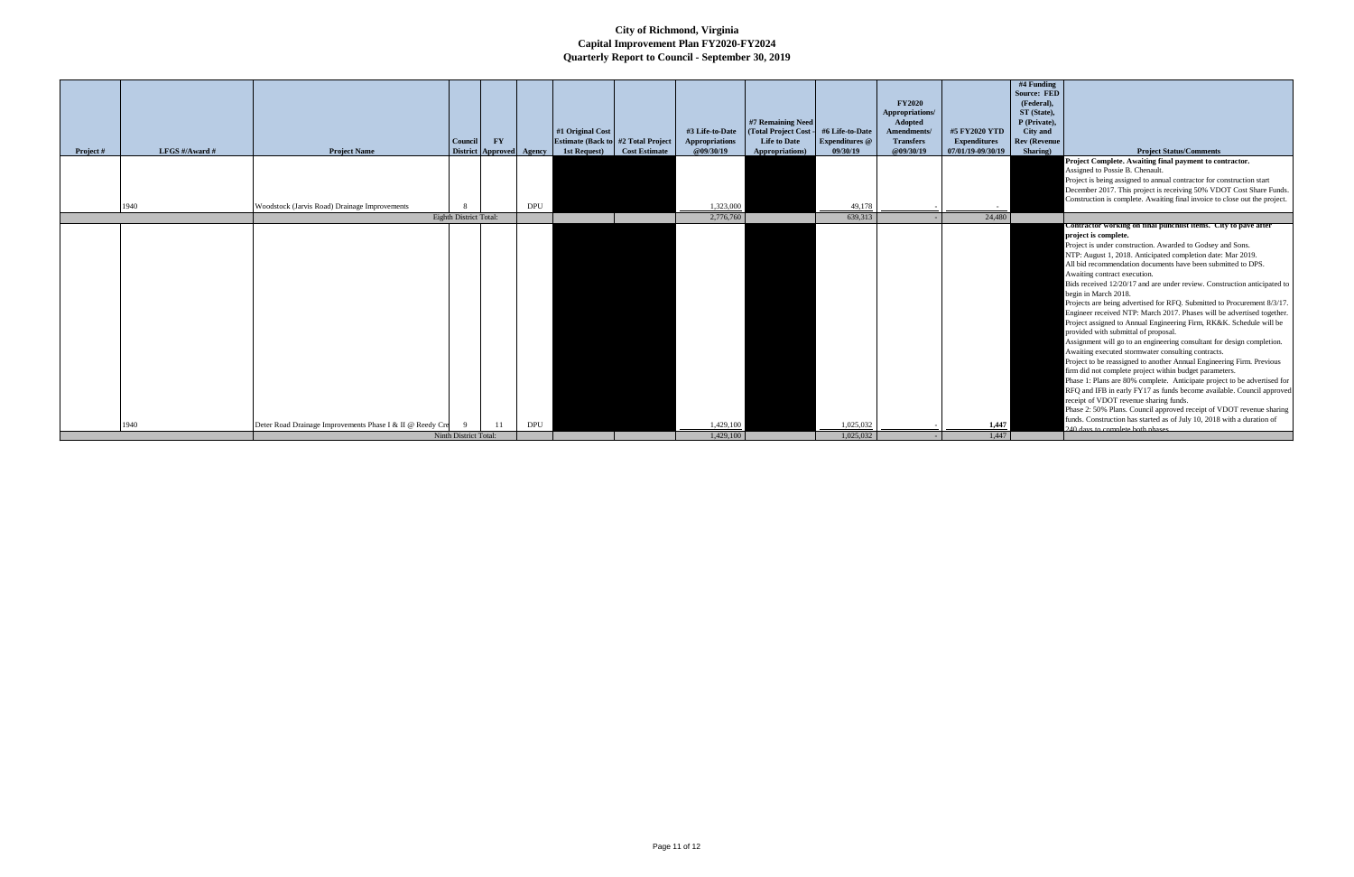|           |                |                                                           |                               |                        |                          |                                            |                      |                       |                       |                       |                    |                     | #4 Funding          |                                                                            |
|-----------|----------------|-----------------------------------------------------------|-------------------------------|------------------------|--------------------------|--------------------------------------------|----------------------|-----------------------|-----------------------|-----------------------|--------------------|---------------------|---------------------|----------------------------------------------------------------------------|
|           |                |                                                           |                               |                        |                          |                                            |                      |                       |                       |                       |                    |                     | <b>Source: FED</b>  |                                                                            |
|           |                |                                                           |                               |                        |                          |                                            |                      |                       |                       |                       | <b>FY2020</b>      |                     | (Federal).          |                                                                            |
|           |                |                                                           |                               |                        |                          |                                            |                      |                       |                       |                       | Appropriations/    |                     | ST (State),         |                                                                            |
|           |                |                                                           |                               |                        |                          |                                            |                      |                       | #7 Remaining Need     |                       | Adopted            |                     | P (Private),        |                                                                            |
|           |                |                                                           |                               |                        |                          | #1 Original Cost                           |                      | #3 Life-to-Date       | (Total Project Cost - | #6 Life-to-Date       | <b>Amendments/</b> | #5 FY2020 YTD       | City and            |                                                                            |
|           |                |                                                           | Council                       | $\mathbf{F}\mathbf{Y}$ |                          | <b>Estimate (Back to #2 Total Project)</b> |                      | <b>Appropriations</b> | <b>Life to Date</b>   | <b>Expenditures</b> @ | <b>Transfers</b>   | <b>Expenditures</b> | <b>Rev</b> (Revenue |                                                                            |
| Project # | LFGS #/Award # | <b>Project Name</b>                                       |                               |                        | District Approved Agency | 1st Request)                               | <b>Cost Estimate</b> | @09/30/19             | Appropriations)       | 09/30/19              | @09/30/19          | 07/01/19-09/30/19   | Sharing)            | <b>Project Status/Comments</b>                                             |
|           |                |                                                           |                               |                        |                          |                                            |                      |                       |                       |                       |                    |                     |                     | Project Complete. Awaiting final payment to contractor.                    |
|           |                |                                                           |                               |                        |                          |                                            |                      |                       |                       |                       |                    |                     |                     | Assigned to Possie B. Chenault.                                            |
|           |                |                                                           |                               |                        |                          |                                            |                      |                       |                       |                       |                    |                     |                     | Project is being assigned to annual contractor for construction start      |
|           |                |                                                           |                               |                        |                          |                                            |                      |                       |                       |                       |                    |                     |                     | December 2017. This project is receiving 50% VDOT Cost Share Funds.        |
|           |                |                                                           |                               |                        |                          |                                            |                      |                       |                       |                       |                    |                     |                     | Construction is complete. Awaiting final invoice to close out the project. |
|           | 1940           | Woodstock (Jarvis Road) Drainage Improvements             |                               |                        | <b>DPU</b>               |                                            |                      | 1,323,000             |                       | 49,178                |                    |                     |                     |                                                                            |
|           |                |                                                           | <b>Eighth District Total:</b> |                        |                          |                                            |                      | 2,776,760             |                       | 639,313               |                    | 24,480              |                     |                                                                            |
|           |                |                                                           |                               |                        |                          |                                            |                      |                       |                       |                       |                    |                     |                     | Contractor working on final punchlist items. City to pave after            |
|           |                |                                                           |                               |                        |                          |                                            |                      |                       |                       |                       |                    |                     |                     | project is complete.                                                       |
|           |                |                                                           |                               |                        |                          |                                            |                      |                       |                       |                       |                    |                     |                     | Project is under construction. Awarded to Godsey and Sons.                 |
|           |                |                                                           |                               |                        |                          |                                            |                      |                       |                       |                       |                    |                     |                     | NTP: August 1, 2018. Anticipated completion date: Mar 2019.                |
|           |                |                                                           |                               |                        |                          |                                            |                      |                       |                       |                       |                    |                     |                     | All bid recommendation documents have been submitted to DPS.               |
|           |                |                                                           |                               |                        |                          |                                            |                      |                       |                       |                       |                    |                     |                     | Awaiting contract execution.                                               |
|           |                |                                                           |                               |                        |                          |                                            |                      |                       |                       |                       |                    |                     |                     | Bids received 12/20/17 and are under review. Construction anticipated to   |
|           |                |                                                           |                               |                        |                          |                                            |                      |                       |                       |                       |                    |                     |                     | begin in March 2018.                                                       |
|           |                |                                                           |                               |                        |                          |                                            |                      |                       |                       |                       |                    |                     |                     | Projects are being advertised for RFO. Submitted to Procurement 8/3/17.    |
|           |                |                                                           |                               |                        |                          |                                            |                      |                       |                       |                       |                    |                     |                     | Engineer received NTP: March 2017. Phases will be advertised together.     |
|           |                |                                                           |                               |                        |                          |                                            |                      |                       |                       |                       |                    |                     |                     | Project assigned to Annual Engineering Firm, RK&K. Schedule will be        |
|           |                |                                                           |                               |                        |                          |                                            |                      |                       |                       |                       |                    |                     |                     | provided with submittal of proposal.                                       |
|           |                |                                                           |                               |                        |                          |                                            |                      |                       |                       |                       |                    |                     |                     | Assignment will go to an engineering consultant for design completion.     |
|           |                |                                                           |                               |                        |                          |                                            |                      |                       |                       |                       |                    |                     |                     | Awaiting executed stormwater consulting contracts.                         |
|           |                |                                                           |                               |                        |                          |                                            |                      |                       |                       |                       |                    |                     |                     | Project to be reassigned to another Annual Engineering Firm. Previous      |
|           |                |                                                           |                               |                        |                          |                                            |                      |                       |                       |                       |                    |                     |                     | firm did not complete project within budget parameters.                    |
|           |                |                                                           |                               |                        |                          |                                            |                      |                       |                       |                       |                    |                     |                     | Phase 1: Plans are 80% complete. Anticipate project to be advertised for   |
|           |                |                                                           |                               |                        |                          |                                            |                      |                       |                       |                       |                    |                     |                     | RFQ and IFB in early FY17 as funds become available. Council approved      |
|           |                |                                                           |                               |                        |                          |                                            |                      |                       |                       |                       |                    |                     |                     | receipt of VDOT revenue sharing funds.                                     |
|           |                |                                                           |                               |                        |                          |                                            |                      |                       |                       |                       |                    |                     |                     | Phase 2: 50% Plans. Council approved receipt of VDOT revenue sharing       |
|           |                |                                                           |                               |                        |                          |                                            |                      |                       |                       |                       |                    |                     |                     | funds. Construction has started as of July 10, 2018 with a duration of     |
|           | 1940           | Deter Road Drainage Improvements Phase I & II @ Reedy Cre |                               |                        | <b>DPU</b>               |                                            |                      | 1,429,100             |                       | 1,025,032             |                    | 1,447               |                     | 240 days to complete both phases                                           |
|           |                |                                                           | Ninth District Total:         |                        |                          |                                            |                      | 1.429,100             |                       | 1.025.032             |                    | 1,447               |                     |                                                                            |